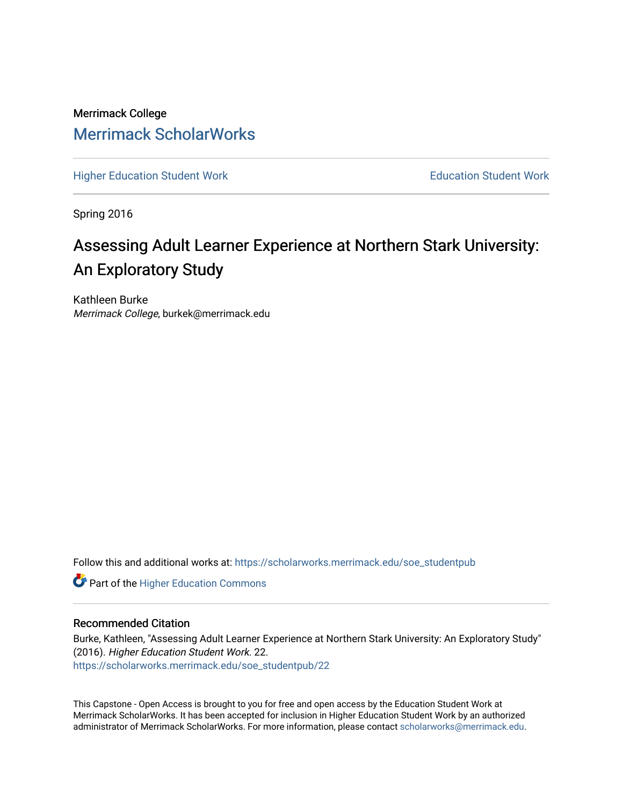Merrimack College [Merrimack ScholarWorks](https://scholarworks.merrimack.edu/) 

[Higher Education Student Work](https://scholarworks.merrimack.edu/soe_studentpub) **Education Student Work** Education Student Work

Spring 2016

# Assessing Adult Learner Experience at Northern Stark University: An Exploratory Study

Kathleen Burke Merrimack College, burkek@merrimack.edu

Follow this and additional works at: [https://scholarworks.merrimack.edu/soe\\_studentpub](https://scholarworks.merrimack.edu/soe_studentpub?utm_source=scholarworks.merrimack.edu%2Fsoe_studentpub%2F22&utm_medium=PDF&utm_campaign=PDFCoverPages) 

**Part of the Higher Education Commons** 

#### Recommended Citation

Burke, Kathleen, "Assessing Adult Learner Experience at Northern Stark University: An Exploratory Study" (2016). Higher Education Student Work. 22. [https://scholarworks.merrimack.edu/soe\\_studentpub/22](https://scholarworks.merrimack.edu/soe_studentpub/22?utm_source=scholarworks.merrimack.edu%2Fsoe_studentpub%2F22&utm_medium=PDF&utm_campaign=PDFCoverPages) 

This Capstone - Open Access is brought to you for free and open access by the Education Student Work at Merrimack ScholarWorks. It has been accepted for inclusion in Higher Education Student Work by an authorized administrator of Merrimack ScholarWorks. For more information, please contact [scholarworks@merrimack.edu](mailto:scholarworks@merrimack.edu).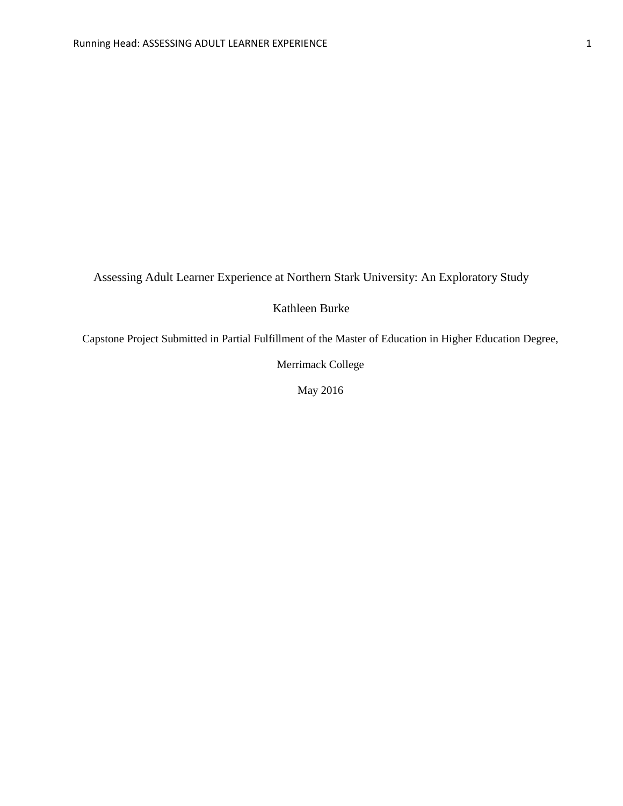Assessing Adult Learner Experience at Northern Stark University: An Exploratory Study

Kathleen Burke

Capstone Project Submitted in Partial Fulfillment of the Master of Education in Higher Education Degree,

Merrimack College

May 2016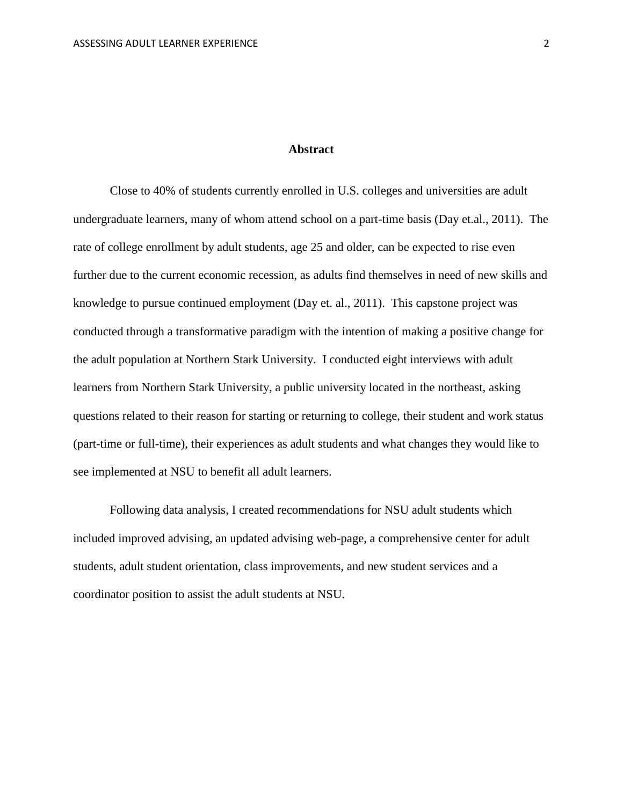#### **Abstract**

<span id="page-2-0"></span>Close to 40% of students currently enrolled in U.S. colleges and universities are adult undergraduate learners, many of whom attend school on a part-time basis (Day et.al., 2011). The rate of college enrollment by adult students, age 25 and older, can be expected to rise even further due to the current economic recession, as adults find themselves in need of new skills and knowledge to pursue continued employment (Day et. al., 2011). This capstone project was conducted through a transformative paradigm with the intention of making a positive change for the adult population at Northern Stark University. I conducted eight interviews with adult learners from Northern Stark University, a public university located in the northeast, asking questions related to their reason for starting or returning to college, their student and work status (part-time or full-time), their experiences as adult students and what changes they would like to see implemented at NSU to benefit all adult learners.

Following data analysis, I created recommendations for NSU adult students which included improved advising, an updated advising web-page, a comprehensive center for adult students, adult student orientation, class improvements, and new student services and a coordinator position to assist the adult students at NSU.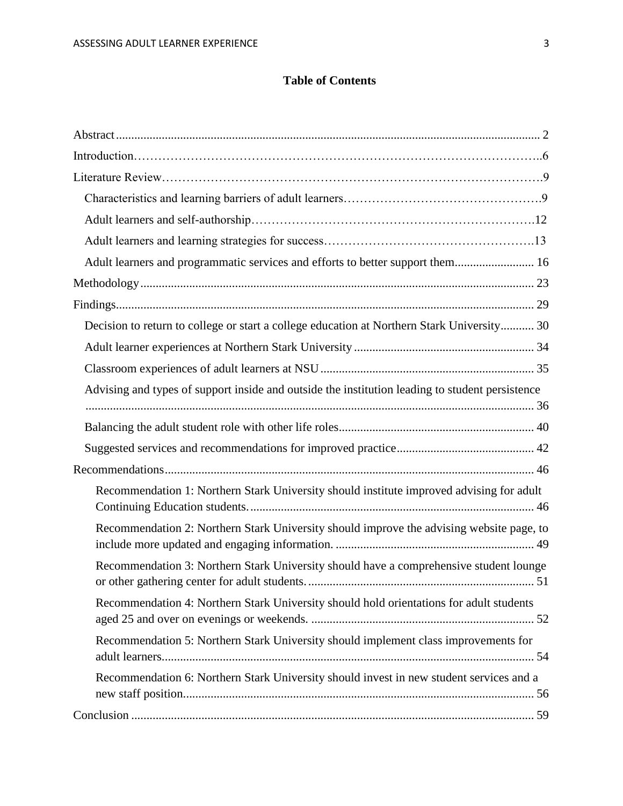### **Table of Contents**

| Adult learners and programmatic services and efforts to better support them 16                  |
|-------------------------------------------------------------------------------------------------|
|                                                                                                 |
|                                                                                                 |
| Decision to return to college or start a college education at Northern Stark University 30      |
|                                                                                                 |
|                                                                                                 |
| Advising and types of support inside and outside the institution leading to student persistence |
|                                                                                                 |
|                                                                                                 |
|                                                                                                 |
|                                                                                                 |
| Recommendation 1: Northern Stark University should institute improved advising for adult        |
| Recommendation 2: Northern Stark University should improve the advising website page, to        |
| Recommendation 3: Northern Stark University should have a comprehensive student lounge          |
| Recommendation 4: Northern Stark University should hold orientations for adult students         |
| Recommendation 5: Northern Stark University should implement class improvements for             |
| Recommendation 6: Northern Stark University should invest in new student services and a         |
|                                                                                                 |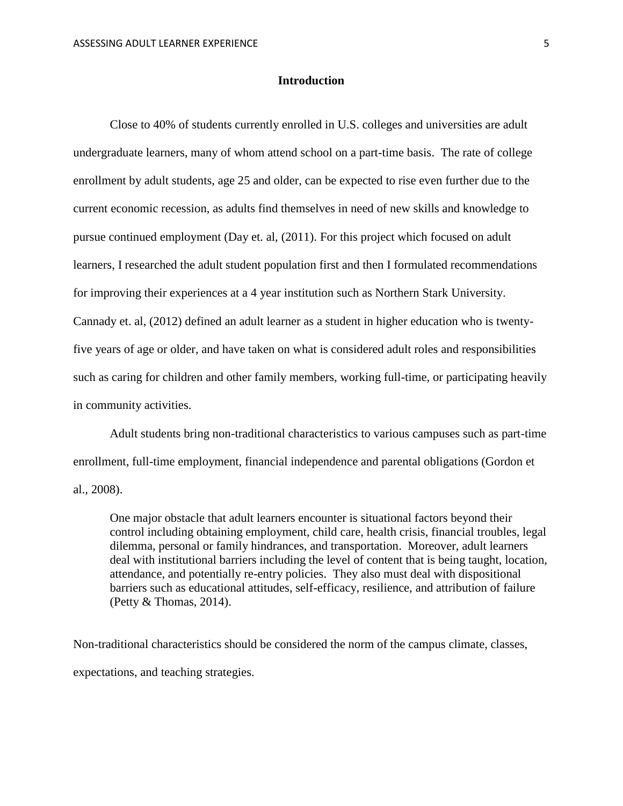#### **Introduction**

Close to 40% of students currently enrolled in U.S. colleges and universities are adult undergraduate learners, many of whom attend school on a part-time basis. The rate of college enrollment by adult students, age 25 and older, can be expected to rise even further due to the current economic recession, as adults find themselves in need of new skills and knowledge to pursue continued employment (Day et. al, (2011). For this project which focused on adult learners, I researched the adult student population first and then I formulated recommendations for improving their experiences at a 4 year institution such as Northern Stark University. Cannady et. al, (2012) defined an adult learner as a student in higher education who is twentyfive years of age or older, and have taken on what is considered adult roles and responsibilities such as caring for children and other family members, working full-time, or participating heavily in community activities.

Adult students bring non-traditional characteristics to various campuses such as part-time enrollment, full-time employment, financial independence and parental obligations (Gordon et al., 2008).

One major obstacle that adult learners encounter is situational factors beyond their control including obtaining employment, child care, health crisis, financial troubles, legal dilemma, personal or family hindrances, and transportation. Moreover, adult learners deal with institutional barriers including the level of content that is being taught, location, attendance, and potentially re-entry policies. They also must deal with dispositional barriers such as educational attitudes, self-efficacy, resilience, and attribution of failure (Petty & Thomas, 2014).

Non-traditional characteristics should be considered the norm of the campus climate, classes, expectations, and teaching strategies.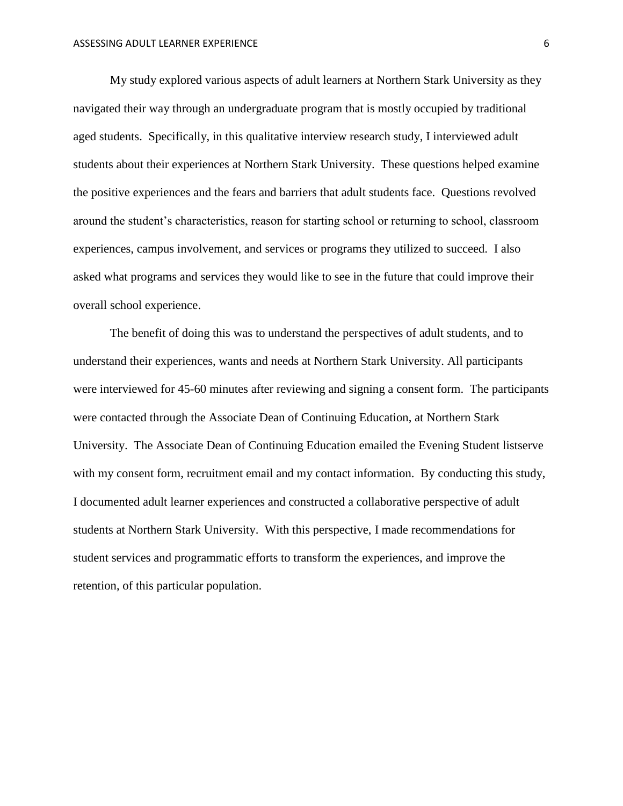My study explored various aspects of adult learners at Northern Stark University as they navigated their way through an undergraduate program that is mostly occupied by traditional aged students. Specifically, in this qualitative interview research study, I interviewed adult students about their experiences at Northern Stark University. These questions helped examine the positive experiences and the fears and barriers that adult students face. Questions revolved around the student's characteristics, reason for starting school or returning to school, classroom experiences, campus involvement, and services or programs they utilized to succeed. I also asked what programs and services they would like to see in the future that could improve their overall school experience.

The benefit of doing this was to understand the perspectives of adult students, and to understand their experiences, wants and needs at Northern Stark University. All participants were interviewed for 45-60 minutes after reviewing and signing a consent form. The participants were contacted through the Associate Dean of Continuing Education, at Northern Stark University. The Associate Dean of Continuing Education emailed the Evening Student listserve with my consent form, recruitment email and my contact information. By conducting this study, I documented adult learner experiences and constructed a collaborative perspective of adult students at Northern Stark University. With this perspective, I made recommendations for student services and programmatic efforts to transform the experiences, and improve the retention, of this particular population.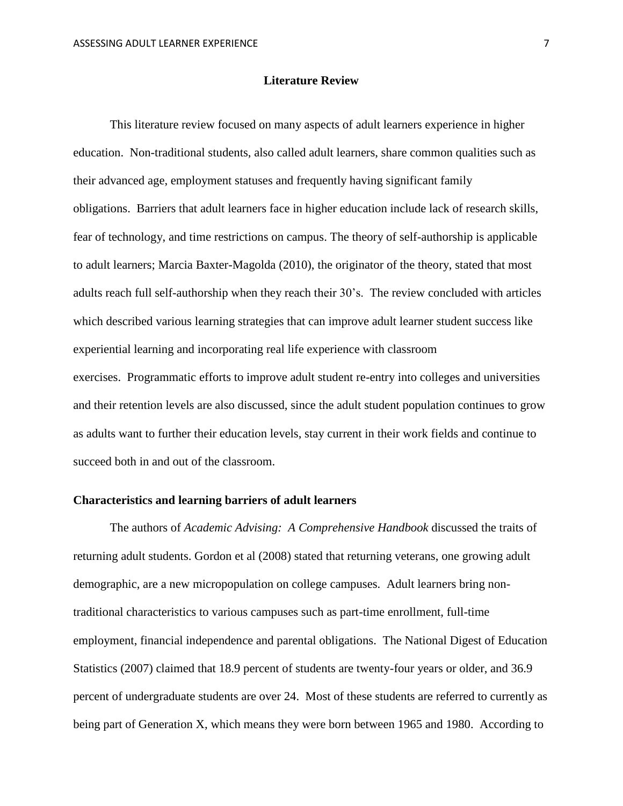#### **Literature Review**

This literature review focused on many aspects of adult learners experience in higher education. Non-traditional students, also called adult learners, share common qualities such as their advanced age, employment statuses and frequently having significant family obligations. Barriers that adult learners face in higher education include lack of research skills, fear of technology, and time restrictions on campus. The theory of self-authorship is applicable to adult learners; Marcia Baxter-Magolda (2010), the originator of the theory, stated that most adults reach full self-authorship when they reach their 30's. The review concluded with articles which described various learning strategies that can improve adult learner student success like experiential learning and incorporating real life experience with classroom exercises. Programmatic efforts to improve adult student re-entry into colleges and universities and their retention levels are also discussed, since the adult student population continues to grow as adults want to further their education levels, stay current in their work fields and continue to succeed both in and out of the classroom.

#### **Characteristics and learning barriers of adult learners**

 The authors of *Academic Advising: A Comprehensive Handbook* discussed the traits of returning adult students. Gordon et al (2008) stated that returning veterans, one growing adult demographic, are a new micropopulation on college campuses. Adult learners bring nontraditional characteristics to various campuses such as part-time enrollment, full-time employment, financial independence and parental obligations. The National Digest of Education Statistics (2007) claimed that 18.9 percent of students are twenty-four years or older, and 36.9 percent of undergraduate students are over 24. Most of these students are referred to currently as being part of Generation X, which means they were born between 1965 and 1980. According to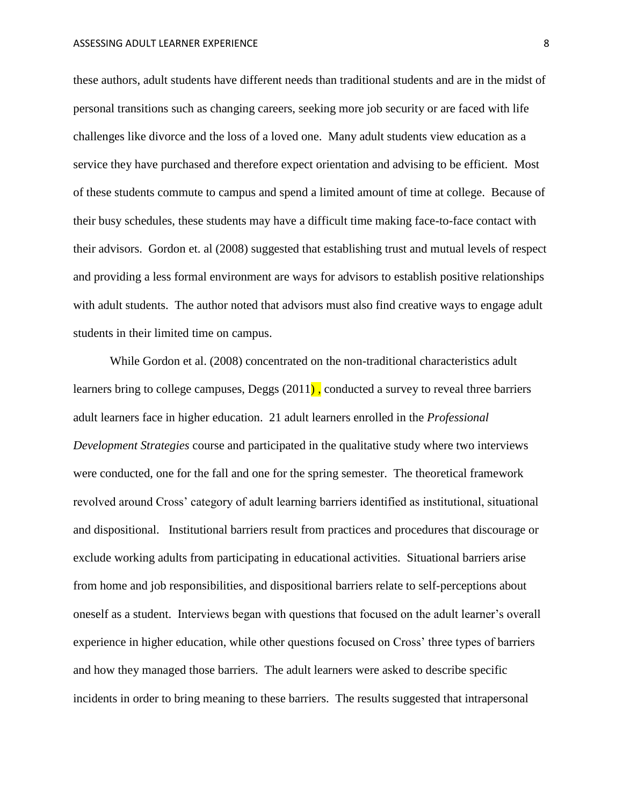these authors, adult students have different needs than traditional students and are in the midst of personal transitions such as changing careers, seeking more job security or are faced with life challenges like divorce and the loss of a loved one. Many adult students view education as a service they have purchased and therefore expect orientation and advising to be efficient. Most of these students commute to campus and spend a limited amount of time at college. Because of their busy schedules, these students may have a difficult time making face-to-face contact with their advisors. Gordon et. al (2008) suggested that establishing trust and mutual levels of respect and providing a less formal environment are ways for advisors to establish positive relationships with adult students. The author noted that advisors must also find creative ways to engage adult students in their limited time on campus.

While Gordon et al. (2008) concentrated on the non-traditional characteristics adult learners bring to college campuses, Deggs (2011) , conducted a survey to reveal three barriers adult learners face in higher education. 21 adult learners enrolled in the *Professional Development Strategies* course and participated in the qualitative study where two interviews were conducted, one for the fall and one for the spring semester. The theoretical framework revolved around Cross' category of adult learning barriers identified as institutional, situational and dispositional. Institutional barriers result from practices and procedures that discourage or exclude working adults from participating in educational activities. Situational barriers arise from home and job responsibilities, and dispositional barriers relate to self-perceptions about oneself as a student. Interviews began with questions that focused on the adult learner's overall experience in higher education, while other questions focused on Cross' three types of barriers and how they managed those barriers. The adult learners were asked to describe specific incidents in order to bring meaning to these barriers. The results suggested that intrapersonal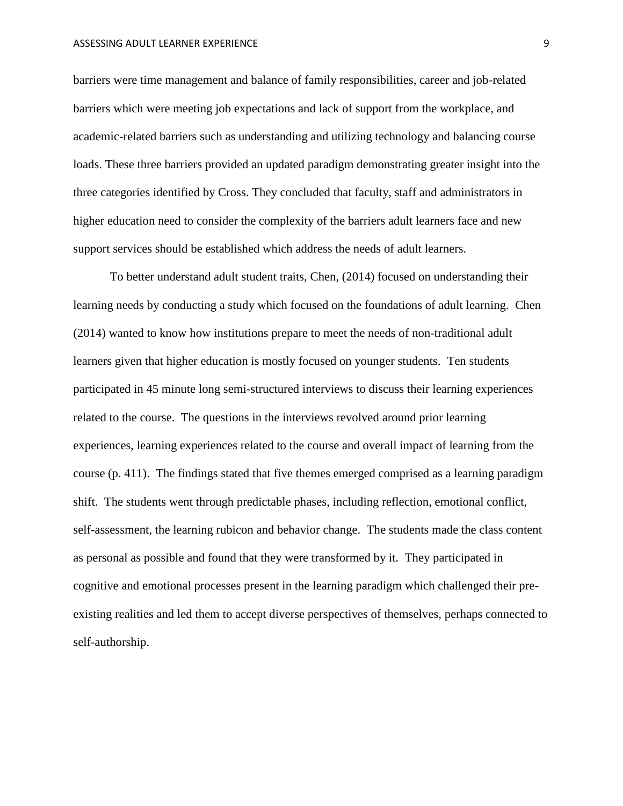barriers were time management and balance of family responsibilities, career and job-related barriers which were meeting job expectations and lack of support from the workplace, and academic-related barriers such as understanding and utilizing technology and balancing course loads. These three barriers provided an updated paradigm demonstrating greater insight into the three categories identified by Cross. They concluded that faculty, staff and administrators in higher education need to consider the complexity of the barriers adult learners face and new support services should be established which address the needs of adult learners.

To better understand adult student traits, Chen, (2014) focused on understanding their learning needs by conducting a study which focused on the foundations of adult learning. Chen (2014) wanted to know how institutions prepare to meet the needs of non-traditional adult learners given that higher education is mostly focused on younger students. Ten students participated in 45 minute long semi-structured interviews to discuss their learning experiences related to the course. The questions in the interviews revolved around prior learning experiences, learning experiences related to the course and overall impact of learning from the course (p. 411). The findings stated that five themes emerged comprised as a learning paradigm shift. The students went through predictable phases, including reflection, emotional conflict, self-assessment, the learning rubicon and behavior change. The students made the class content as personal as possible and found that they were transformed by it. They participated in cognitive and emotional processes present in the learning paradigm which challenged their preexisting realities and led them to accept diverse perspectives of themselves, perhaps connected to self-authorship.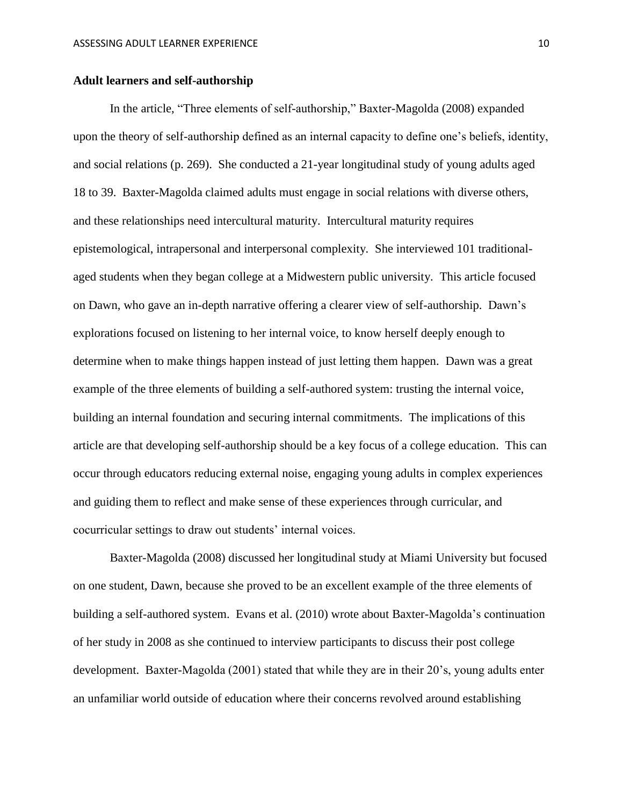#### **Adult learners and self-authorship**

 In the article, "Three elements of self-authorship," Baxter-Magolda (2008) expanded upon the theory of self-authorship defined as an internal capacity to define one's beliefs, identity, and social relations (p. 269). She conducted a 21-year longitudinal study of young adults aged 18 to 39. Baxter-Magolda claimed adults must engage in social relations with diverse others, and these relationships need intercultural maturity. Intercultural maturity requires epistemological, intrapersonal and interpersonal complexity. She interviewed 101 traditionalaged students when they began college at a Midwestern public university. This article focused on Dawn, who gave an in-depth narrative offering a clearer view of self-authorship. Dawn's explorations focused on listening to her internal voice, to know herself deeply enough to determine when to make things happen instead of just letting them happen. Dawn was a great example of the three elements of building a self-authored system: trusting the internal voice, building an internal foundation and securing internal commitments. The implications of this article are that developing self-authorship should be a key focus of a college education. This can occur through educators reducing external noise, engaging young adults in complex experiences and guiding them to reflect and make sense of these experiences through curricular, and cocurricular settings to draw out students' internal voices.

Baxter-Magolda (2008) discussed her longitudinal study at Miami University but focused on one student, Dawn, because she proved to be an excellent example of the three elements of building a self-authored system. Evans et al. (2010) wrote about Baxter-Magolda's continuation of her study in 2008 as she continued to interview participants to discuss their post college development. Baxter-Magolda (2001) stated that while they are in their 20's, young adults enter an unfamiliar world outside of education where their concerns revolved around establishing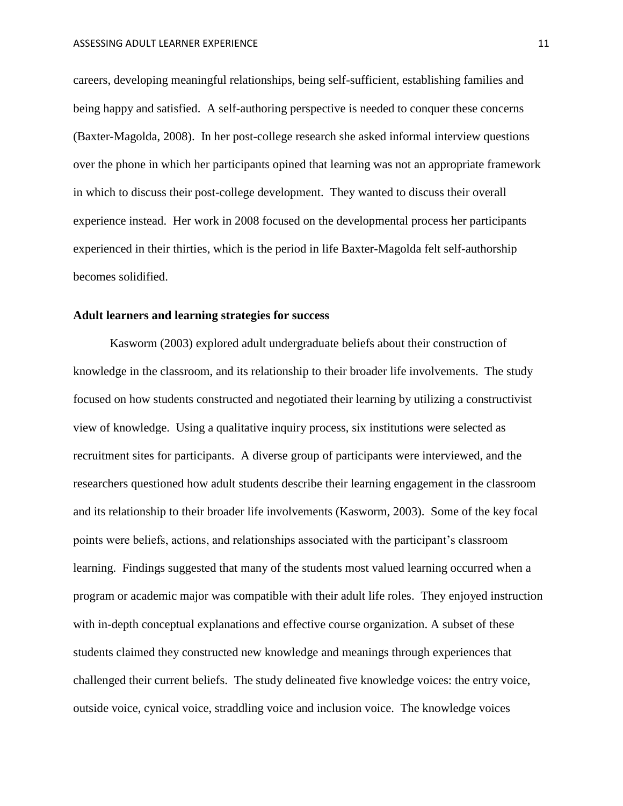careers, developing meaningful relationships, being self-sufficient, establishing families and being happy and satisfied. A self-authoring perspective is needed to conquer these concerns (Baxter-Magolda, 2008). In her post-college research she asked informal interview questions over the phone in which her participants opined that learning was not an appropriate framework in which to discuss their post-college development. They wanted to discuss their overall experience instead. Her work in 2008 focused on the developmental process her participants experienced in their thirties, which is the period in life Baxter-Magolda felt self-authorship becomes solidified.

#### **Adult learners and learning strategies for success**

Kasworm (2003) explored adult undergraduate beliefs about their construction of knowledge in the classroom, and its relationship to their broader life involvements. The study focused on how students constructed and negotiated their learning by utilizing a constructivist view of knowledge. Using a qualitative inquiry process, six institutions were selected as recruitment sites for participants. A diverse group of participants were interviewed, and the researchers questioned how adult students describe their learning engagement in the classroom and its relationship to their broader life involvements (Kasworm, 2003). Some of the key focal points were beliefs, actions, and relationships associated with the participant's classroom learning. Findings suggested that many of the students most valued learning occurred when a program or academic major was compatible with their adult life roles. They enjoyed instruction with in-depth conceptual explanations and effective course organization. A subset of these students claimed they constructed new knowledge and meanings through experiences that challenged their current beliefs. The study delineated five knowledge voices: the entry voice, outside voice, cynical voice, straddling voice and inclusion voice. The knowledge voices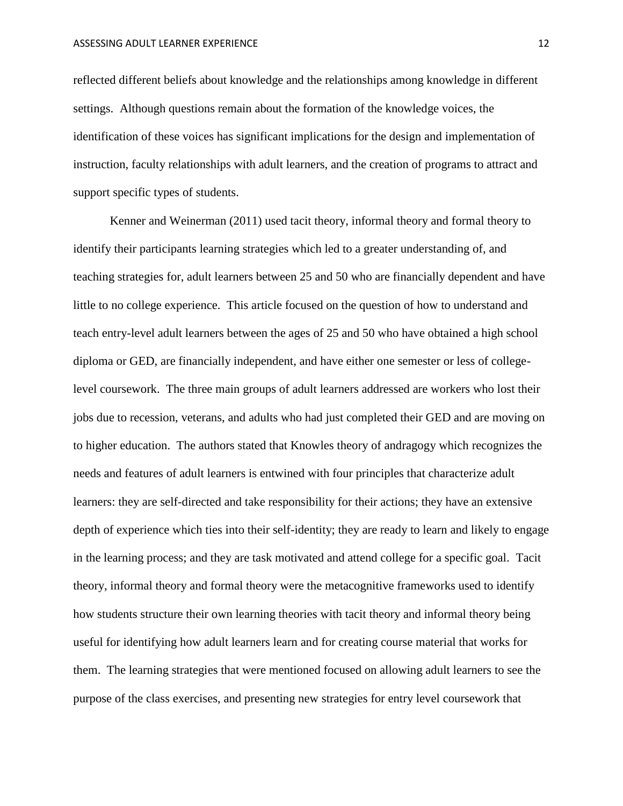reflected different beliefs about knowledge and the relationships among knowledge in different settings. Although questions remain about the formation of the knowledge voices, the identification of these voices has significant implications for the design and implementation of instruction, faculty relationships with adult learners, and the creation of programs to attract and support specific types of students.

Kenner and Weinerman (2011) used tacit theory, informal theory and formal theory to identify their participants learning strategies which led to a greater understanding of, and teaching strategies for, adult learners between 25 and 50 who are financially dependent and have little to no college experience. This article focused on the question of how to understand and teach entry-level adult learners between the ages of 25 and 50 who have obtained a high school diploma or GED, are financially independent, and have either one semester or less of collegelevel coursework. The three main groups of adult learners addressed are workers who lost their jobs due to recession, veterans, and adults who had just completed their GED and are moving on to higher education. The authors stated that Knowles theory of andragogy which recognizes the needs and features of adult learners is entwined with four principles that characterize adult learners: they are self-directed and take responsibility for their actions; they have an extensive depth of experience which ties into their self-identity; they are ready to learn and likely to engage in the learning process; and they are task motivated and attend college for a specific goal. Tacit theory, informal theory and formal theory were the metacognitive frameworks used to identify how students structure their own learning theories with tacit theory and informal theory being useful for identifying how adult learners learn and for creating course material that works for them. The learning strategies that were mentioned focused on allowing adult learners to see the purpose of the class exercises, and presenting new strategies for entry level coursework that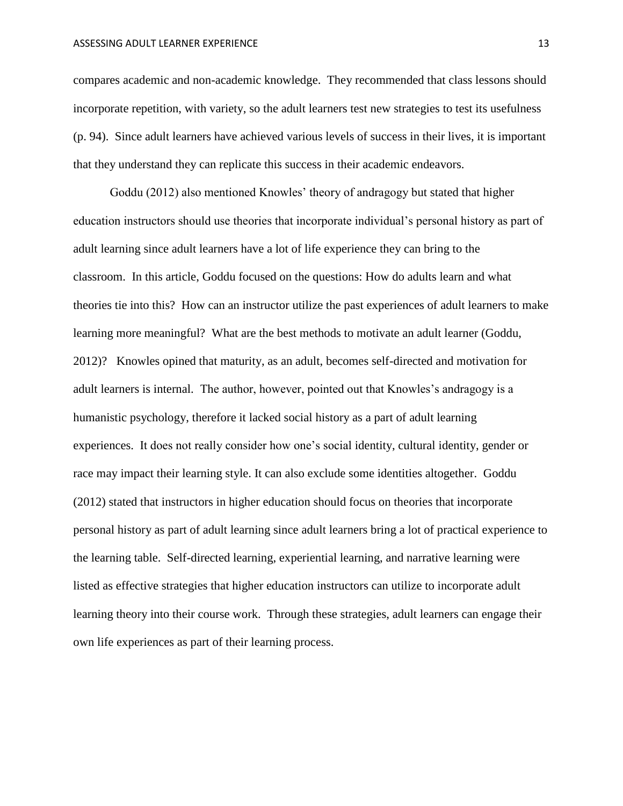compares academic and non-academic knowledge. They recommended that class lessons should incorporate repetition, with variety, so the adult learners test new strategies to test its usefulness (p. 94). Since adult learners have achieved various levels of success in their lives, it is important that they understand they can replicate this success in their academic endeavors.

Goddu (2012) also mentioned Knowles' theory of andragogy but stated that higher education instructors should use theories that incorporate individual's personal history as part of adult learning since adult learners have a lot of life experience they can bring to the classroom. In this article, Goddu focused on the questions: How do adults learn and what theories tie into this? How can an instructor utilize the past experiences of adult learners to make learning more meaningful? What are the best methods to motivate an adult learner (Goddu, 2012)? Knowles opined that maturity, as an adult, becomes self-directed and motivation for adult learners is internal. The author, however, pointed out that Knowles's andragogy is a humanistic psychology, therefore it lacked social history as a part of adult learning experiences. It does not really consider how one's social identity, cultural identity, gender or race may impact their learning style. It can also exclude some identities altogether. Goddu (2012) stated that instructors in higher education should focus on theories that incorporate personal history as part of adult learning since adult learners bring a lot of practical experience to the learning table. Self-directed learning, experiential learning, and narrative learning were listed as effective strategies that higher education instructors can utilize to incorporate adult learning theory into their course work. Through these strategies, adult learners can engage their own life experiences as part of their learning process.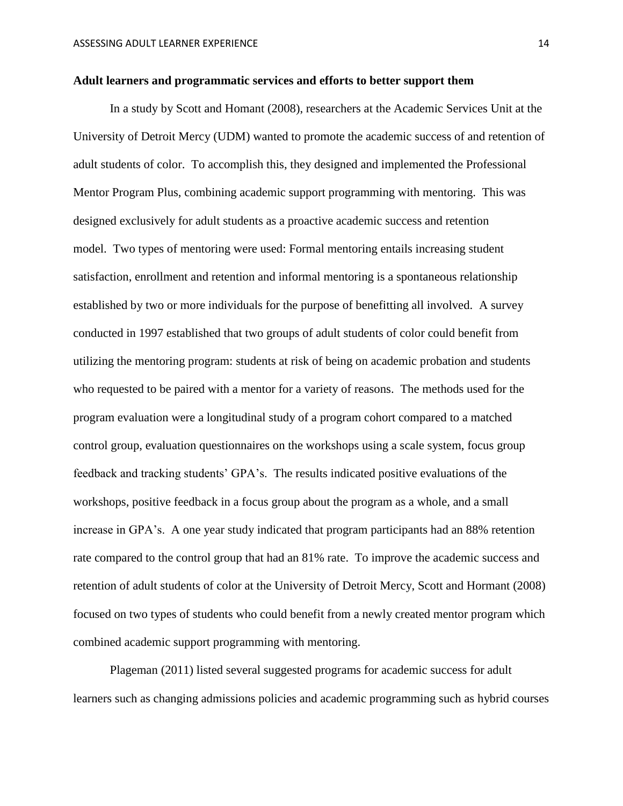#### <span id="page-14-0"></span>**Adult learners and programmatic services and efforts to better support them**

 In a study by Scott and Homant (2008), researchers at the Academic Services Unit at the University of Detroit Mercy (UDM) wanted to promote the academic success of and retention of adult students of color. To accomplish this, they designed and implemented the Professional Mentor Program Plus, combining academic support programming with mentoring. This was designed exclusively for adult students as a proactive academic success and retention model. Two types of mentoring were used: Formal mentoring entails increasing student satisfaction, enrollment and retention and informal mentoring is a spontaneous relationship established by two or more individuals for the purpose of benefitting all involved. A survey conducted in 1997 established that two groups of adult students of color could benefit from utilizing the mentoring program: students at risk of being on academic probation and students who requested to be paired with a mentor for a variety of reasons. The methods used for the program evaluation were a longitudinal study of a program cohort compared to a matched control group, evaluation questionnaires on the workshops using a scale system, focus group feedback and tracking students' GPA's. The results indicated positive evaluations of the workshops, positive feedback in a focus group about the program as a whole, and a small increase in GPA's. A one year study indicated that program participants had an 88% retention rate compared to the control group that had an 81% rate. To improve the academic success and retention of adult students of color at the University of Detroit Mercy, Scott and Hormant (2008) focused on two types of students who could benefit from a newly created mentor program which combined academic support programming with mentoring.

Plageman (2011) listed several suggested programs for academic success for adult learners such as changing admissions policies and academic programming such as hybrid courses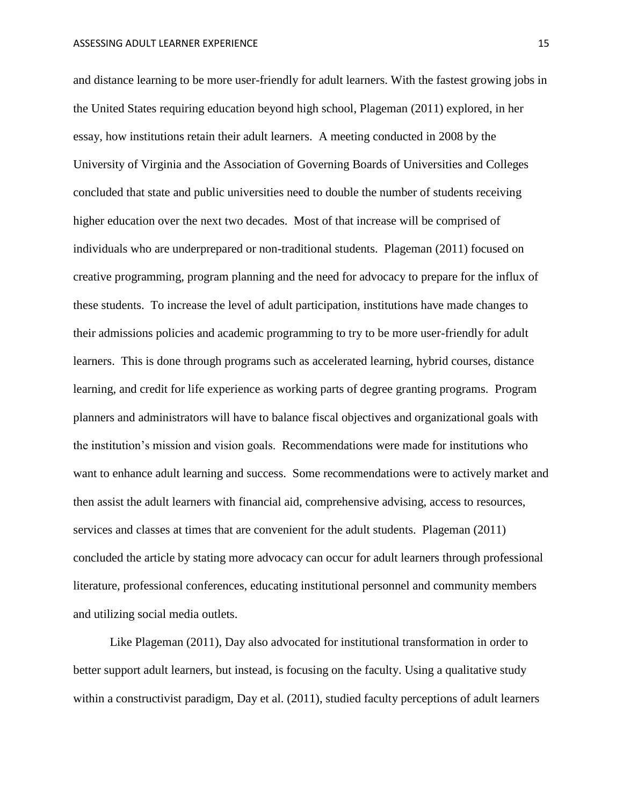and distance learning to be more user-friendly for adult learners. With the fastest growing jobs in the United States requiring education beyond high school, Plageman (2011) explored, in her essay, how institutions retain their adult learners. A meeting conducted in 2008 by the University of Virginia and the Association of Governing Boards of Universities and Colleges concluded that state and public universities need to double the number of students receiving higher education over the next two decades. Most of that increase will be comprised of individuals who are underprepared or non-traditional students. Plageman (2011) focused on creative programming, program planning and the need for advocacy to prepare for the influx of these students. To increase the level of adult participation, institutions have made changes to their admissions policies and academic programming to try to be more user-friendly for adult learners. This is done through programs such as accelerated learning, hybrid courses, distance learning, and credit for life experience as working parts of degree granting programs. Program planners and administrators will have to balance fiscal objectives and organizational goals with the institution's mission and vision goals. Recommendations were made for institutions who want to enhance adult learning and success. Some recommendations were to actively market and then assist the adult learners with financial aid, comprehensive advising, access to resources, services and classes at times that are convenient for the adult students. Plageman (2011) concluded the article by stating more advocacy can occur for adult learners through professional literature, professional conferences, educating institutional personnel and community members and utilizing social media outlets.

Like Plageman (2011), Day also advocated for institutional transformation in order to better support adult learners, but instead, is focusing on the faculty. Using a qualitative study within a constructivist paradigm, Day et al. (2011), studied faculty perceptions of adult learners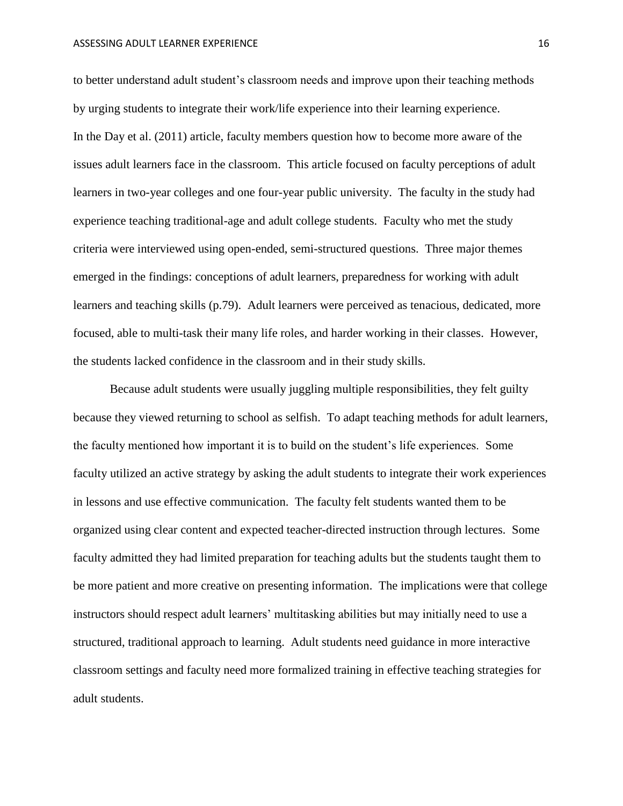to better understand adult student's classroom needs and improve upon their teaching methods by urging students to integrate their work/life experience into their learning experience. In the Day et al. (2011) article, faculty members question how to become more aware of the issues adult learners face in the classroom. This article focused on faculty perceptions of adult learners in two-year colleges and one four-year public university. The faculty in the study had experience teaching traditional-age and adult college students. Faculty who met the study criteria were interviewed using open-ended, semi-structured questions. Three major themes emerged in the findings: conceptions of adult learners, preparedness for working with adult learners and teaching skills (p.79). Adult learners were perceived as tenacious, dedicated, more focused, able to multi-task their many life roles, and harder working in their classes. However, the students lacked confidence in the classroom and in their study skills.

Because adult students were usually juggling multiple responsibilities, they felt guilty because they viewed returning to school as selfish. To adapt teaching methods for adult learners, the faculty mentioned how important it is to build on the student's life experiences. Some faculty utilized an active strategy by asking the adult students to integrate their work experiences in lessons and use effective communication. The faculty felt students wanted them to be organized using clear content and expected teacher-directed instruction through lectures. Some faculty admitted they had limited preparation for teaching adults but the students taught them to be more patient and more creative on presenting information. The implications were that college instructors should respect adult learners' multitasking abilities but may initially need to use a structured, traditional approach to learning. Adult students need guidance in more interactive classroom settings and faculty need more formalized training in effective teaching strategies for adult students.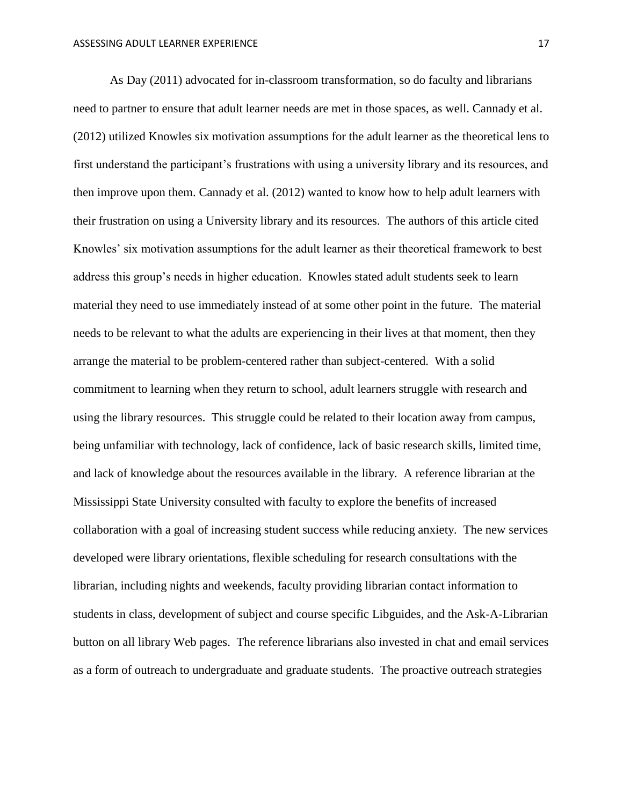As Day (2011) advocated for in-classroom transformation, so do faculty and librarians need to partner to ensure that adult learner needs are met in those spaces, as well. Cannady et al. (2012) utilized Knowles six motivation assumptions for the adult learner as the theoretical lens to first understand the participant's frustrations with using a university library and its resources, and then improve upon them. Cannady et al. (2012) wanted to know how to help adult learners with their frustration on using a University library and its resources. The authors of this article cited Knowles' six motivation assumptions for the adult learner as their theoretical framework to best address this group's needs in higher education. Knowles stated adult students seek to learn material they need to use immediately instead of at some other point in the future. The material needs to be relevant to what the adults are experiencing in their lives at that moment, then they arrange the material to be problem-centered rather than subject-centered. With a solid commitment to learning when they return to school, adult learners struggle with research and using the library resources. This struggle could be related to their location away from campus, being unfamiliar with technology, lack of confidence, lack of basic research skills, limited time, and lack of knowledge about the resources available in the library. A reference librarian at the Mississippi State University consulted with faculty to explore the benefits of increased collaboration with a goal of increasing student success while reducing anxiety. The new services developed were library orientations, flexible scheduling for research consultations with the librarian, including nights and weekends, faculty providing librarian contact information to students in class, development of subject and course specific Libguides, and the Ask-A-Librarian button on all library Web pages. The reference librarians also invested in chat and email services as a form of outreach to undergraduate and graduate students. The proactive outreach strategies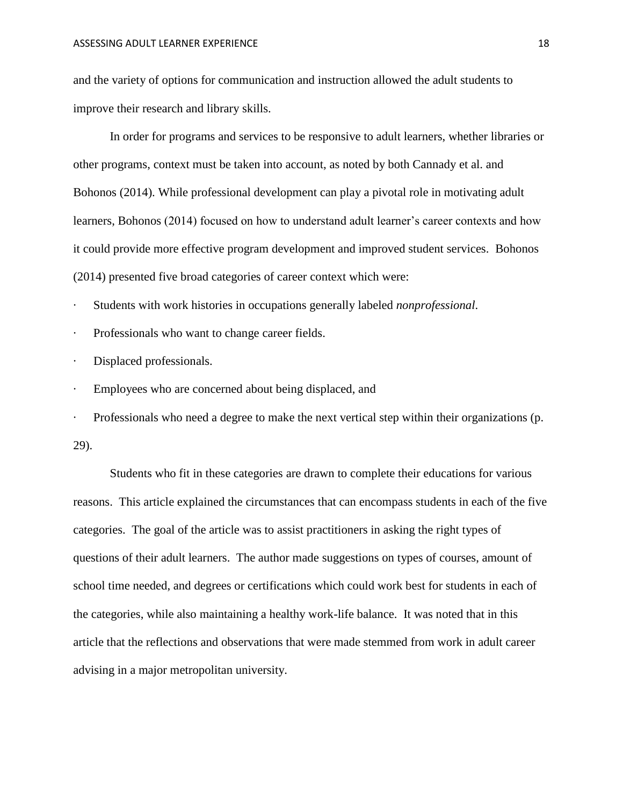and the variety of options for communication and instruction allowed the adult students to improve their research and library skills.

In order for programs and services to be responsive to adult learners, whether libraries or other programs, context must be taken into account, as noted by both Cannady et al. and Bohonos (2014). While professional development can play a pivotal role in motivating adult learners, Bohonos (2014) focused on how to understand adult learner's career contexts and how it could provide more effective program development and improved student services. Bohonos (2014) presented five broad categories of career context which were:

· Students with work histories in occupations generally labeled *nonprofessional*.

Professionals who want to change career fields.

· Displaced professionals.

· Employees who are concerned about being displaced, and

· Professionals who need a degree to make the next vertical step within their organizations (p. 29).

Students who fit in these categories are drawn to complete their educations for various reasons. This article explained the circumstances that can encompass students in each of the five categories. The goal of the article was to assist practitioners in asking the right types of questions of their adult learners. The author made suggestions on types of courses, amount of school time needed, and degrees or certifications which could work best for students in each of the categories, while also maintaining a healthy work-life balance. It was noted that in this article that the reflections and observations that were made stemmed from work in adult career advising in a major metropolitan university.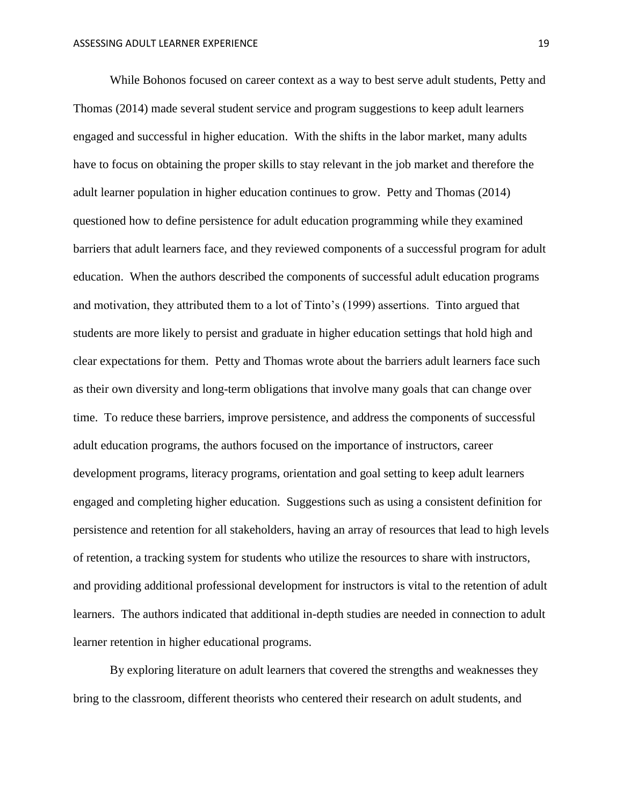While Bohonos focused on career context as a way to best serve adult students, Petty and Thomas (2014) made several student service and program suggestions to keep adult learners engaged and successful in higher education. With the shifts in the labor market, many adults have to focus on obtaining the proper skills to stay relevant in the job market and therefore the adult learner population in higher education continues to grow. Petty and Thomas (2014) questioned how to define persistence for adult education programming while they examined barriers that adult learners face, and they reviewed components of a successful program for adult education. When the authors described the components of successful adult education programs and motivation, they attributed them to a lot of Tinto's (1999) assertions. Tinto argued that students are more likely to persist and graduate in higher education settings that hold high and clear expectations for them. Petty and Thomas wrote about the barriers adult learners face such as their own diversity and long-term obligations that involve many goals that can change over time. To reduce these barriers, improve persistence, and address the components of successful adult education programs, the authors focused on the importance of instructors, career development programs, literacy programs, orientation and goal setting to keep adult learners engaged and completing higher education. Suggestions such as using a consistent definition for persistence and retention for all stakeholders, having an array of resources that lead to high levels of retention, a tracking system for students who utilize the resources to share with instructors, and providing additional professional development for instructors is vital to the retention of adult learners. The authors indicated that additional in-depth studies are needed in connection to adult learner retention in higher educational programs.

By exploring literature on adult learners that covered the strengths and weaknesses they bring to the classroom, different theorists who centered their research on adult students, and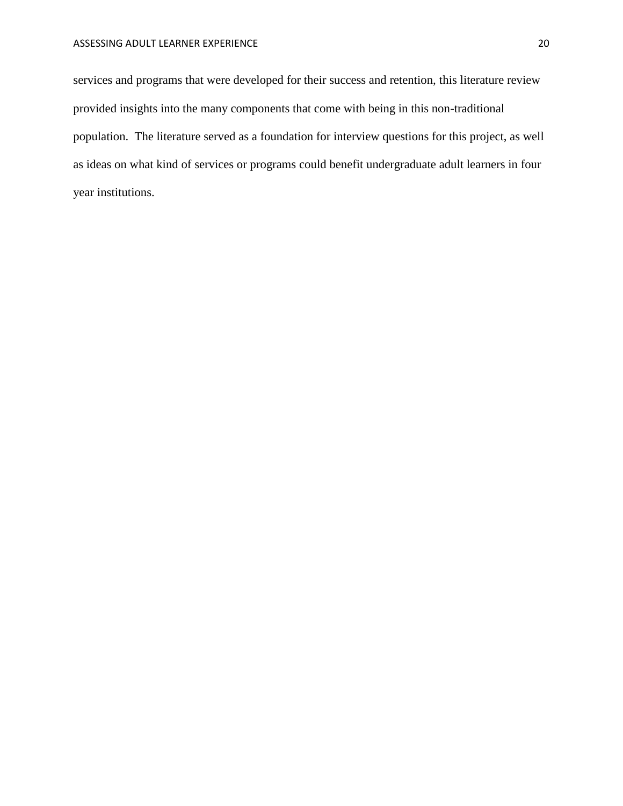services and programs that were developed for their success and retention, this literature review provided insights into the many components that come with being in this non-traditional population. The literature served as a foundation for interview questions for this project, as well as ideas on what kind of services or programs could benefit undergraduate adult learners in four year institutions.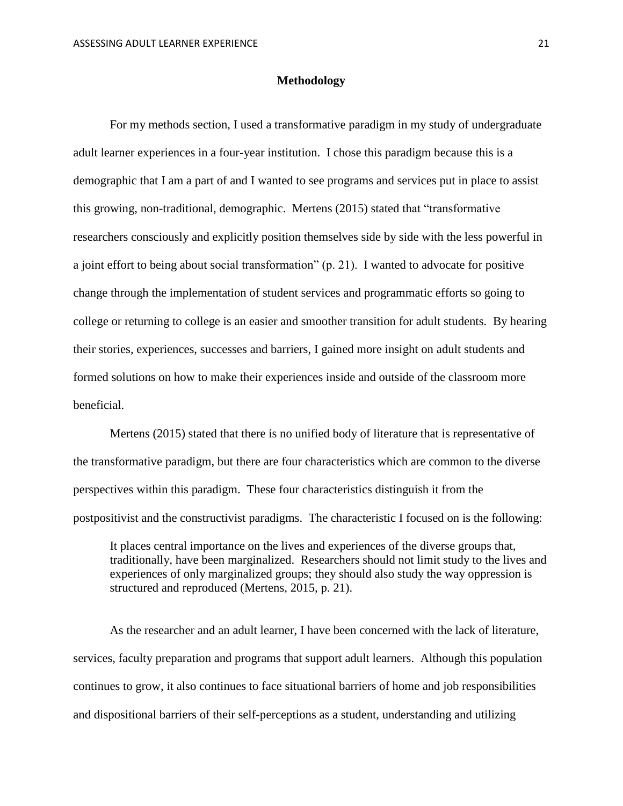#### **Methodology**

<span id="page-21-0"></span>For my methods section, I used a transformative paradigm in my study of undergraduate adult learner experiences in a four-year institution. I chose this paradigm because this is a demographic that I am a part of and I wanted to see programs and services put in place to assist this growing, non-traditional, demographic. Mertens (2015) stated that "transformative researchers consciously and explicitly position themselves side by side with the less powerful in a joint effort to being about social transformation" (p. 21). I wanted to advocate for positive change through the implementation of student services and programmatic efforts so going to college or returning to college is an easier and smoother transition for adult students. By hearing their stories, experiences, successes and barriers, I gained more insight on adult students and formed solutions on how to make their experiences inside and outside of the classroom more beneficial.

Mertens (2015) stated that there is no unified body of literature that is representative of the transformative paradigm, but there are four characteristics which are common to the diverse perspectives within this paradigm. These four characteristics distinguish it from the postpositivist and the constructivist paradigms. The characteristic I focused on is the following:

It places central importance on the lives and experiences of the diverse groups that, traditionally, have been marginalized. Researchers should not limit study to the lives and experiences of only marginalized groups; they should also study the way oppression is structured and reproduced (Mertens, 2015, p. 21).

As the researcher and an adult learner, I have been concerned with the lack of literature, services, faculty preparation and programs that support adult learners. Although this population continues to grow, it also continues to face situational barriers of home and job responsibilities and dispositional barriers of their self-perceptions as a student, understanding and utilizing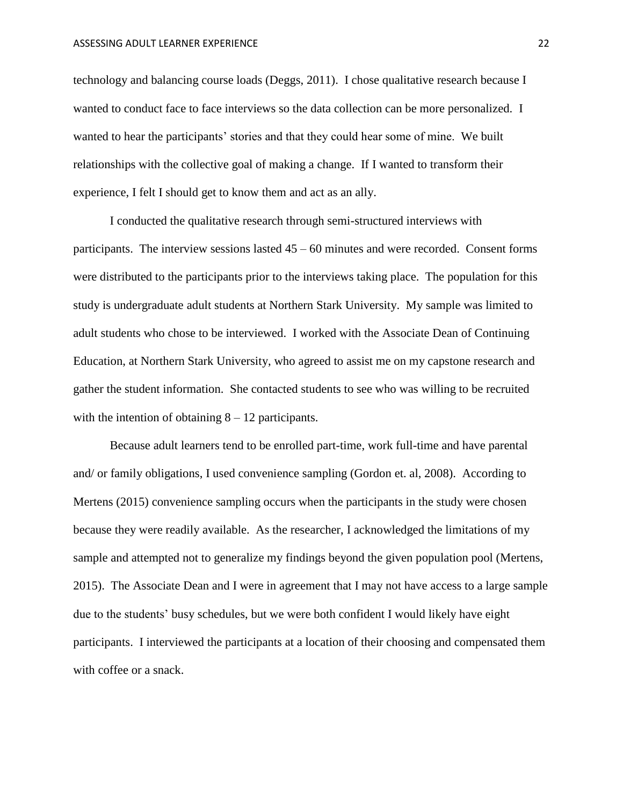technology and balancing course loads (Deggs, 2011). I chose qualitative research because I wanted to conduct face to face interviews so the data collection can be more personalized. I wanted to hear the participants' stories and that they could hear some of mine. We built relationships with the collective goal of making a change. If I wanted to transform their experience, I felt I should get to know them and act as an ally.

I conducted the qualitative research through semi-structured interviews with participants. The interview sessions lasted  $45 - 60$  minutes and were recorded. Consent forms were distributed to the participants prior to the interviews taking place. The population for this study is undergraduate adult students at Northern Stark University. My sample was limited to adult students who chose to be interviewed. I worked with the Associate Dean of Continuing Education, at Northern Stark University, who agreed to assist me on my capstone research and gather the student information. She contacted students to see who was willing to be recruited with the intention of obtaining  $8 - 12$  participants.

Because adult learners tend to be enrolled part-time, work full-time and have parental and/ or family obligations, I used convenience sampling (Gordon et. al, 2008). According to Mertens (2015) convenience sampling occurs when the participants in the study were chosen because they were readily available. As the researcher, I acknowledged the limitations of my sample and attempted not to generalize my findings beyond the given population pool (Mertens, 2015). The Associate Dean and I were in agreement that I may not have access to a large sample due to the students' busy schedules, but we were both confident I would likely have eight participants. I interviewed the participants at a location of their choosing and compensated them with coffee or a snack.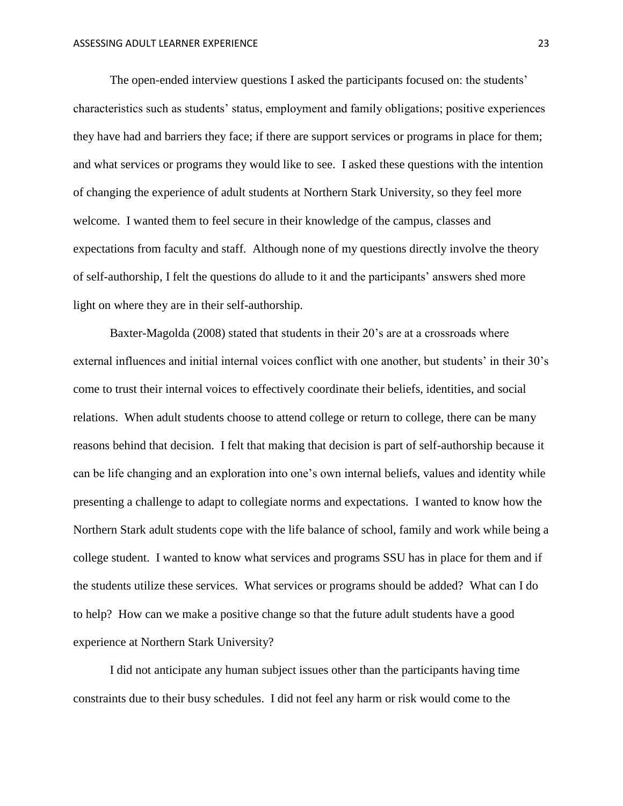The open-ended interview questions I asked the participants focused on: the students' characteristics such as students' status, employment and family obligations; positive experiences they have had and barriers they face; if there are support services or programs in place for them; and what services or programs they would like to see. I asked these questions with the intention of changing the experience of adult students at Northern Stark University, so they feel more welcome. I wanted them to feel secure in their knowledge of the campus, classes and expectations from faculty and staff. Although none of my questions directly involve the theory of self-authorship, I felt the questions do allude to it and the participants' answers shed more light on where they are in their self-authorship.

Baxter-Magolda (2008) stated that students in their 20's are at a crossroads where external influences and initial internal voices conflict with one another, but students' in their 30's come to trust their internal voices to effectively coordinate their beliefs, identities, and social relations. When adult students choose to attend college or return to college, there can be many reasons behind that decision. I felt that making that decision is part of self-authorship because it can be life changing and an exploration into one's own internal beliefs, values and identity while presenting a challenge to adapt to collegiate norms and expectations. I wanted to know how the Northern Stark adult students cope with the life balance of school, family and work while being a college student. I wanted to know what services and programs SSU has in place for them and if the students utilize these services. What services or programs should be added? What can I do to help? How can we make a positive change so that the future adult students have a good experience at Northern Stark University?

I did not anticipate any human subject issues other than the participants having time constraints due to their busy schedules. I did not feel any harm or risk would come to the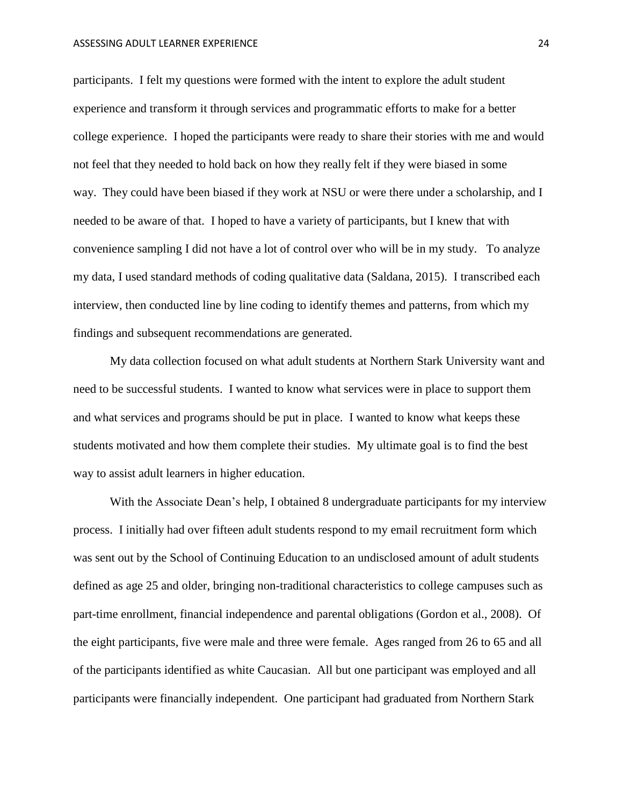participants. I felt my questions were formed with the intent to explore the adult student experience and transform it through services and programmatic efforts to make for a better college experience. I hoped the participants were ready to share their stories with me and would not feel that they needed to hold back on how they really felt if they were biased in some way. They could have been biased if they work at NSU or were there under a scholarship, and I needed to be aware of that. I hoped to have a variety of participants, but I knew that with convenience sampling I did not have a lot of control over who will be in my study. To analyze my data, I used standard methods of coding qualitative data (Saldana, 2015). I transcribed each interview, then conducted line by line coding to identify themes and patterns, from which my findings and subsequent recommendations are generated.

My data collection focused on what adult students at Northern Stark University want and need to be successful students. I wanted to know what services were in place to support them and what services and programs should be put in place. I wanted to know what keeps these students motivated and how them complete their studies. My ultimate goal is to find the best way to assist adult learners in higher education.

With the Associate Dean's help, I obtained 8 undergraduate participants for my interview process. I initially had over fifteen adult students respond to my email recruitment form which was sent out by the School of Continuing Education to an undisclosed amount of adult students defined as age 25 and older, bringing non-traditional characteristics to college campuses such as part-time enrollment, financial independence and parental obligations (Gordon et al., 2008). Of the eight participants, five were male and three were female. Ages ranged from 26 to 65 and all of the participants identified as white Caucasian. All but one participant was employed and all participants were financially independent. One participant had graduated from Northern Stark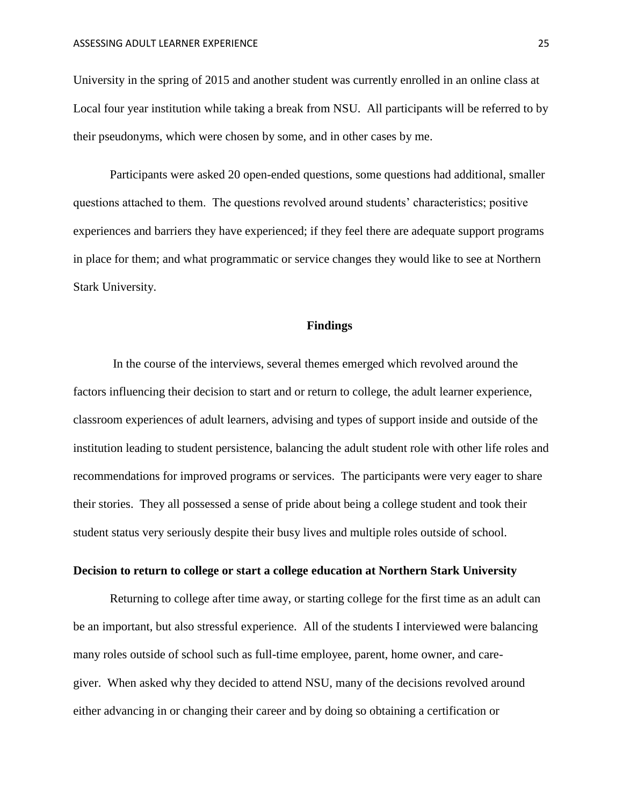University in the spring of 2015 and another student was currently enrolled in an online class at Local four year institution while taking a break from NSU. All participants will be referred to by their pseudonyms, which were chosen by some, and in other cases by me.

Participants were asked 20 open-ended questions, some questions had additional, smaller questions attached to them. The questions revolved around students' characteristics; positive experiences and barriers they have experienced; if they feel there are adequate support programs in place for them; and what programmatic or service changes they would like to see at Northern Stark University.

#### **Findings**

In the course of the interviews, several themes emerged which revolved around the factors influencing their decision to start and or return to college, the adult learner experience, classroom experiences of adult learners, advising and types of support inside and outside of the institution leading to student persistence, balancing the adult student role with other life roles and recommendations for improved programs or services. The participants were very eager to share their stories. They all possessed a sense of pride about being a college student and took their student status very seriously despite their busy lives and multiple roles outside of school.

#### <span id="page-25-0"></span>**Decision to return to college or start a college education at Northern Stark University**

Returning to college after time away, or starting college for the first time as an adult can be an important, but also stressful experience. All of the students I interviewed were balancing many roles outside of school such as full-time employee, parent, home owner, and caregiver. When asked why they decided to attend NSU, many of the decisions revolved around either advancing in or changing their career and by doing so obtaining a certification or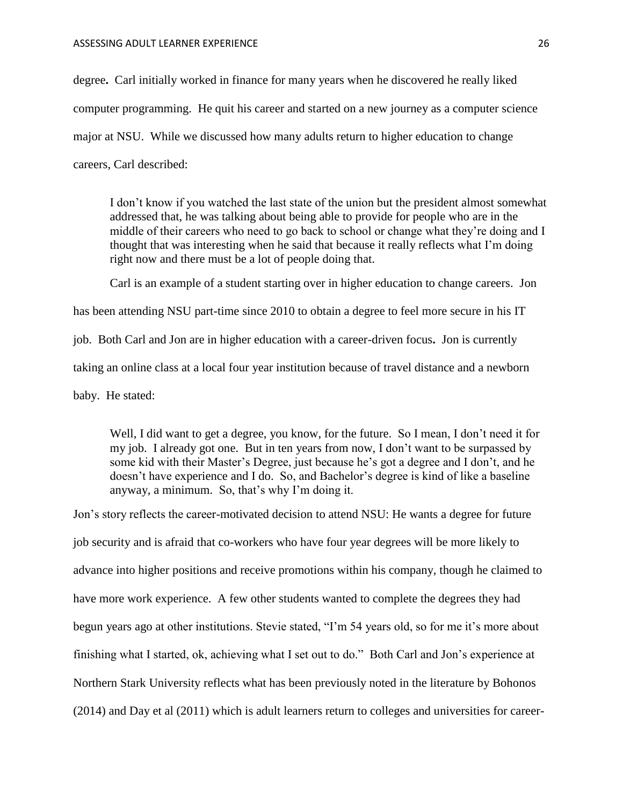degree**.** Carl initially worked in finance for many years when he discovered he really liked computer programming. He quit his career and started on a new journey as a computer science major at NSU. While we discussed how many adults return to higher education to change careers, Carl described:

I don't know if you watched the last state of the union but the president almost somewhat addressed that, he was talking about being able to provide for people who are in the middle of their careers who need to go back to school or change what they're doing and I thought that was interesting when he said that because it really reflects what I'm doing right now and there must be a lot of people doing that.

Carl is an example of a student starting over in higher education to change careers. Jon has been attending NSU part-time since 2010 to obtain a degree to feel more secure in his IT job. Both Carl and Jon are in higher education with a career-driven focus**.** Jon is currently taking an online class at a local four year institution because of travel distance and a newborn baby. He stated:

Well, I did want to get a degree, you know, for the future. So I mean, I don't need it for my job. I already got one. But in ten years from now, I don't want to be surpassed by some kid with their Master's Degree, just because he's got a degree and I don't, and he doesn't have experience and I do. So, and Bachelor's degree is kind of like a baseline anyway, a minimum. So, that's why I'm doing it.

Jon's story reflects the career-motivated decision to attend NSU: He wants a degree for future job security and is afraid that co-workers who have four year degrees will be more likely to advance into higher positions and receive promotions within his company, though he claimed to have more work experience. A few other students wanted to complete the degrees they had begun years ago at other institutions. Stevie stated, "I'm 54 years old, so for me it's more about finishing what I started, ok, achieving what I set out to do." Both Carl and Jon's experience at Northern Stark University reflects what has been previously noted in the literature by Bohonos (2014) and Day et al (2011) which is adult learners return to colleges and universities for career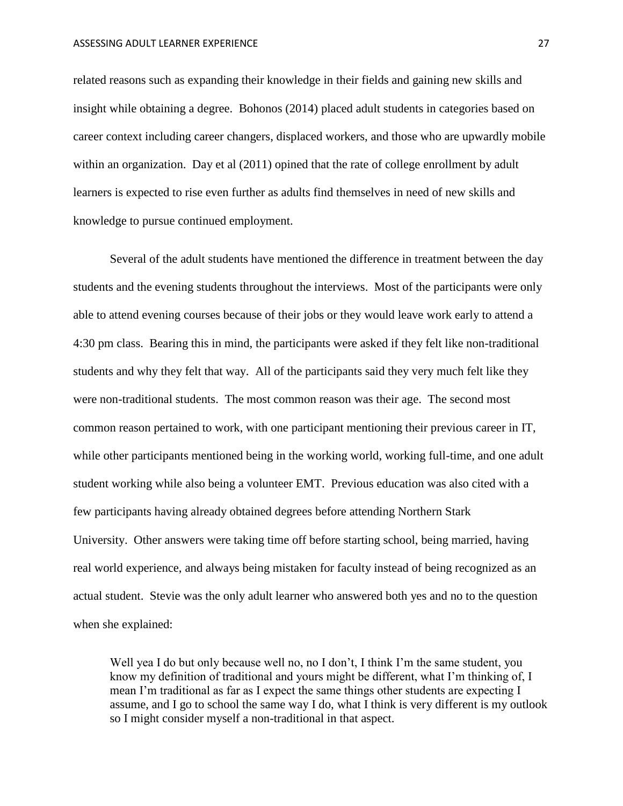related reasons such as expanding their knowledge in their fields and gaining new skills and insight while obtaining a degree. Bohonos (2014) placed adult students in categories based on career context including career changers, displaced workers, and those who are upwardly mobile within an organization. Day et al (2011) opined that the rate of college enrollment by adult learners is expected to rise even further as adults find themselves in need of new skills and knowledge to pursue continued employment.

Several of the adult students have mentioned the difference in treatment between the day students and the evening students throughout the interviews. Most of the participants were only able to attend evening courses because of their jobs or they would leave work early to attend a 4:30 pm class. Bearing this in mind, the participants were asked if they felt like non-traditional students and why they felt that way. All of the participants said they very much felt like they were non-traditional students. The most common reason was their age. The second most common reason pertained to work, with one participant mentioning their previous career in IT, while other participants mentioned being in the working world, working full-time, and one adult student working while also being a volunteer EMT. Previous education was also cited with a few participants having already obtained degrees before attending Northern Stark University. Other answers were taking time off before starting school, being married, having real world experience, and always being mistaken for faculty instead of being recognized as an actual student. Stevie was the only adult learner who answered both yes and no to the question when she explained:

Well yea I do but only because well no, no I don't, I think I'm the same student, you know my definition of traditional and yours might be different, what I'm thinking of, I mean I'm traditional as far as I expect the same things other students are expecting I assume, and I go to school the same way I do, what I think is very different is my outlook so I might consider myself a non-traditional in that aspect.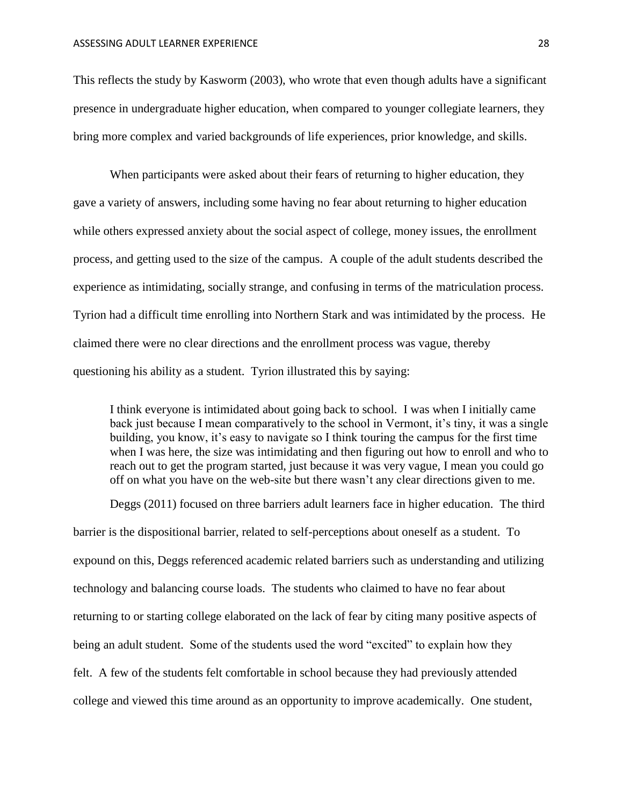This reflects the study by Kasworm (2003), who wrote that even though adults have a significant presence in undergraduate higher education, when compared to younger collegiate learners, they bring more complex and varied backgrounds of life experiences, prior knowledge, and skills.

When participants were asked about their fears of returning to higher education, they gave a variety of answers, including some having no fear about returning to higher education while others expressed anxiety about the social aspect of college, money issues, the enrollment process, and getting used to the size of the campus. A couple of the adult students described the experience as intimidating, socially strange, and confusing in terms of the matriculation process. Tyrion had a difficult time enrolling into Northern Stark and was intimidated by the process. He claimed there were no clear directions and the enrollment process was vague, thereby questioning his ability as a student. Tyrion illustrated this by saying:

I think everyone is intimidated about going back to school. I was when I initially came back just because I mean comparatively to the school in Vermont, it's tiny, it was a single building, you know, it's easy to navigate so I think touring the campus for the first time when I was here, the size was intimidating and then figuring out how to enroll and who to reach out to get the program started, just because it was very vague, I mean you could go off on what you have on the web-site but there wasn't any clear directions given to me.

Deggs (2011) focused on three barriers adult learners face in higher education. The third barrier is the dispositional barrier, related to self-perceptions about oneself as a student. To expound on this, Deggs referenced academic related barriers such as understanding and utilizing technology and balancing course loads. The students who claimed to have no fear about returning to or starting college elaborated on the lack of fear by citing many positive aspects of being an adult student. Some of the students used the word "excited" to explain how they felt. A few of the students felt comfortable in school because they had previously attended college and viewed this time around as an opportunity to improve academically. One student,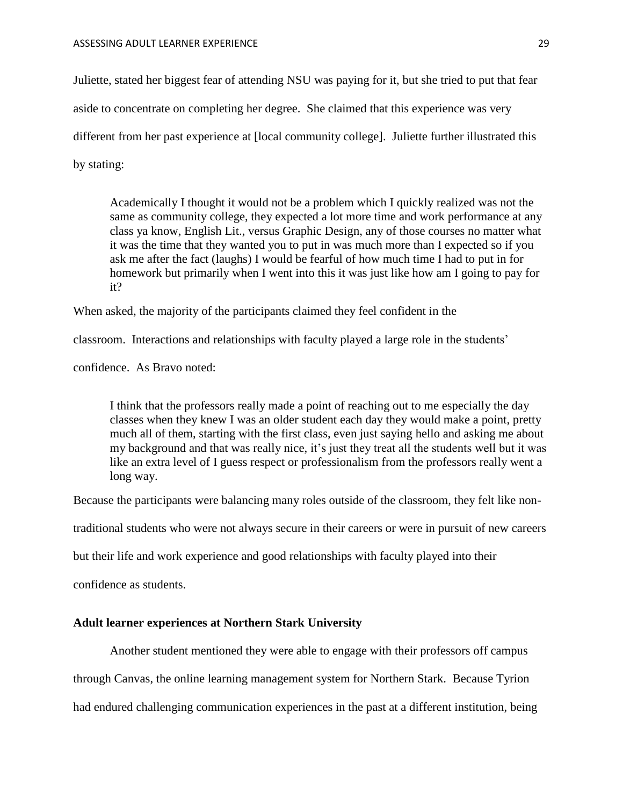Juliette, stated her biggest fear of attending NSU was paying for it, but she tried to put that fear aside to concentrate on completing her degree. She claimed that this experience was very different from her past experience at [local community college]. Juliette further illustrated this by stating:

Academically I thought it would not be a problem which I quickly realized was not the same as community college, they expected a lot more time and work performance at any class ya know, English Lit., versus Graphic Design, any of those courses no matter what it was the time that they wanted you to put in was much more than I expected so if you ask me after the fact (laughs) I would be fearful of how much time I had to put in for homework but primarily when I went into this it was just like how am I going to pay for it?

When asked, the majority of the participants claimed they feel confident in the

classroom. Interactions and relationships with faculty played a large role in the students'

confidence. As Bravo noted:

I think that the professors really made a point of reaching out to me especially the day classes when they knew I was an older student each day they would make a point, pretty much all of them, starting with the first class, even just saying hello and asking me about my background and that was really nice, it's just they treat all the students well but it was like an extra level of I guess respect or professionalism from the professors really went a long way.

Because the participants were balancing many roles outside of the classroom, they felt like non-

traditional students who were not always secure in their careers or were in pursuit of new careers

but their life and work experience and good relationships with faculty played into their

confidence as students.

#### <span id="page-29-0"></span>**Adult learner experiences at Northern Stark University**

Another student mentioned they were able to engage with their professors off campus

through Canvas, the online learning management system for Northern Stark. Because Tyrion

had endured challenging communication experiences in the past at a different institution, being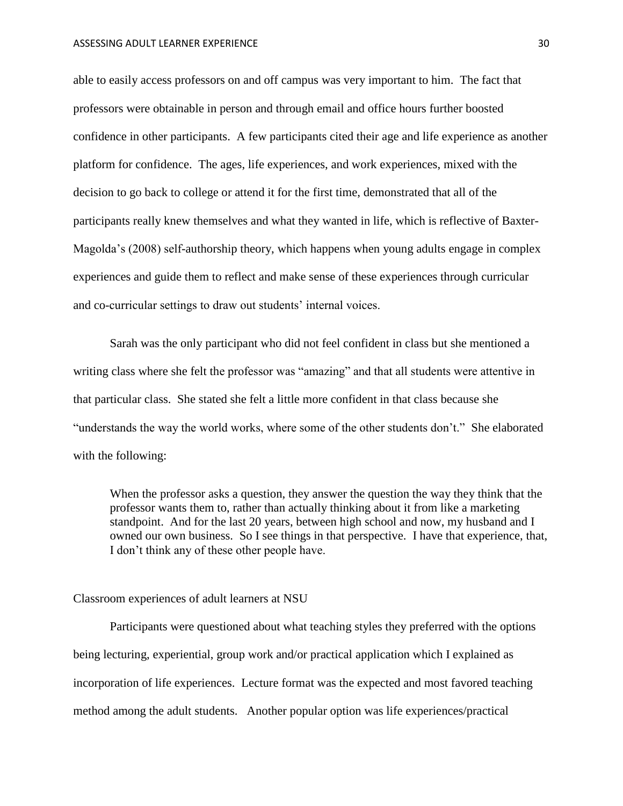able to easily access professors on and off campus was very important to him. The fact that professors were obtainable in person and through email and office hours further boosted confidence in other participants. A few participants cited their age and life experience as another platform for confidence. The ages, life experiences, and work experiences, mixed with the decision to go back to college or attend it for the first time, demonstrated that all of the participants really knew themselves and what they wanted in life, which is reflective of Baxter-Magolda's (2008) self-authorship theory, which happens when young adults engage in complex experiences and guide them to reflect and make sense of these experiences through curricular and co-curricular settings to draw out students' internal voices.

Sarah was the only participant who did not feel confident in class but she mentioned a writing class where she felt the professor was "amazing" and that all students were attentive in that particular class. She stated she felt a little more confident in that class because she "understands the way the world works, where some of the other students don't." She elaborated with the following:

When the professor asks a question, they answer the question the way they think that the professor wants them to, rather than actually thinking about it from like a marketing standpoint. And for the last 20 years, between high school and now, my husband and I owned our own business. So I see things in that perspective. I have that experience, that, I don't think any of these other people have.

<span id="page-30-0"></span>Classroom experiences of adult learners at NSU

Participants were questioned about what teaching styles they preferred with the options being lecturing, experiential, group work and/or practical application which I explained as incorporation of life experiences. Lecture format was the expected and most favored teaching method among the adult students. Another popular option was life experiences/practical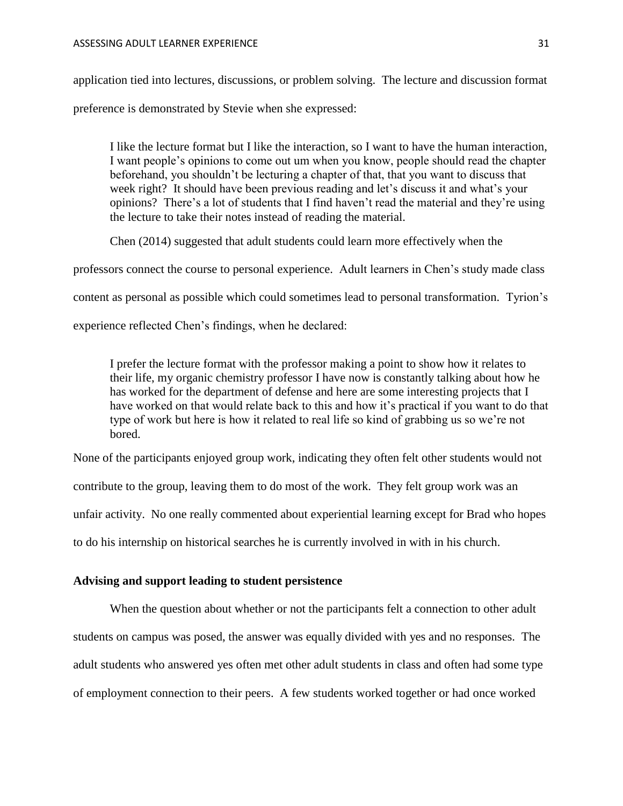application tied into lectures, discussions, or problem solving. The lecture and discussion format

preference is demonstrated by Stevie when she expressed:

I like the lecture format but I like the interaction, so I want to have the human interaction, I want people's opinions to come out um when you know, people should read the chapter beforehand, you shouldn't be lecturing a chapter of that, that you want to discuss that week right? It should have been previous reading and let's discuss it and what's your opinions? There's a lot of students that I find haven't read the material and they're using the lecture to take their notes instead of reading the material.

Chen (2014) suggested that adult students could learn more effectively when the

professors connect the course to personal experience. Adult learners in Chen's study made class

content as personal as possible which could sometimes lead to personal transformation. Tyrion's

experience reflected Chen's findings, when he declared:

I prefer the lecture format with the professor making a point to show how it relates to their life, my organic chemistry professor I have now is constantly talking about how he has worked for the department of defense and here are some interesting projects that I have worked on that would relate back to this and how it's practical if you want to do that type of work but here is how it related to real life so kind of grabbing us so we're not bored.

None of the participants enjoyed group work, indicating they often felt other students would not

contribute to the group, leaving them to do most of the work. They felt group work was an

unfair activity. No one really commented about experiential learning except for Brad who hopes

to do his internship on historical searches he is currently involved in with in his church.

#### <span id="page-31-0"></span>**Advising and support leading to student persistence**

When the question about whether or not the participants felt a connection to other adult students on campus was posed, the answer was equally divided with yes and no responses. The adult students who answered yes often met other adult students in class and often had some type of employment connection to their peers. A few students worked together or had once worked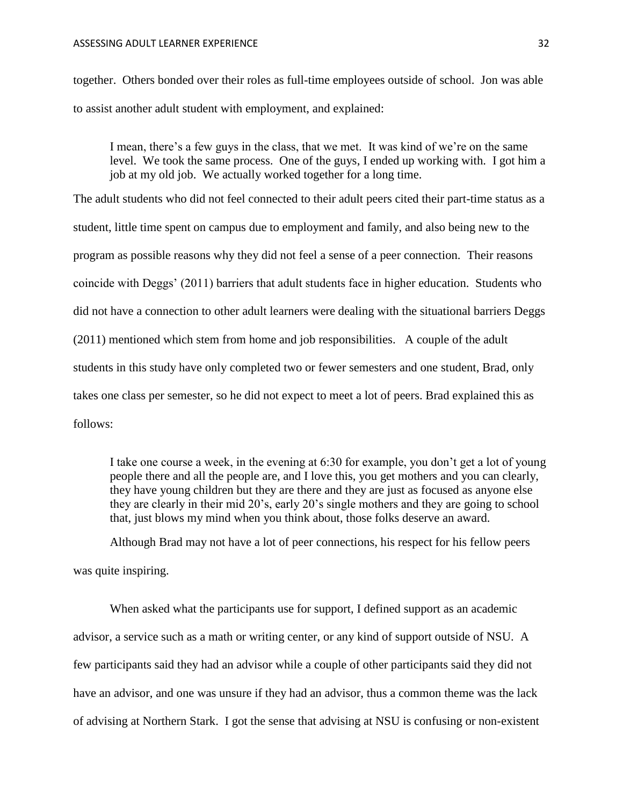together. Others bonded over their roles as full-time employees outside of school. Jon was able to assist another adult student with employment, and explained:

I mean, there's a few guys in the class, that we met. It was kind of we're on the same level. We took the same process. One of the guys, I ended up working with. I got him a job at my old job. We actually worked together for a long time.

The adult students who did not feel connected to their adult peers cited their part-time status as a student, little time spent on campus due to employment and family, and also being new to the program as possible reasons why they did not feel a sense of a peer connection. Their reasons coincide with Deggs' (2011) barriers that adult students face in higher education. Students who did not have a connection to other adult learners were dealing with the situational barriers Deggs (2011) mentioned which stem from home and job responsibilities. A couple of the adult students in this study have only completed two or fewer semesters and one student, Brad, only takes one class per semester, so he did not expect to meet a lot of peers. Brad explained this as follows:

I take one course a week, in the evening at 6:30 for example, you don't get a lot of young people there and all the people are, and I love this, you get mothers and you can clearly, they have young children but they are there and they are just as focused as anyone else they are clearly in their mid 20's, early 20's single mothers and they are going to school that, just blows my mind when you think about, those folks deserve an award.

Although Brad may not have a lot of peer connections, his respect for his fellow peers was quite inspiring.

When asked what the participants use for support, I defined support as an academic advisor, a service such as a math or writing center, or any kind of support outside of NSU. A few participants said they had an advisor while a couple of other participants said they did not have an advisor, and one was unsure if they had an advisor, thus a common theme was the lack of advising at Northern Stark. I got the sense that advising at NSU is confusing or non-existent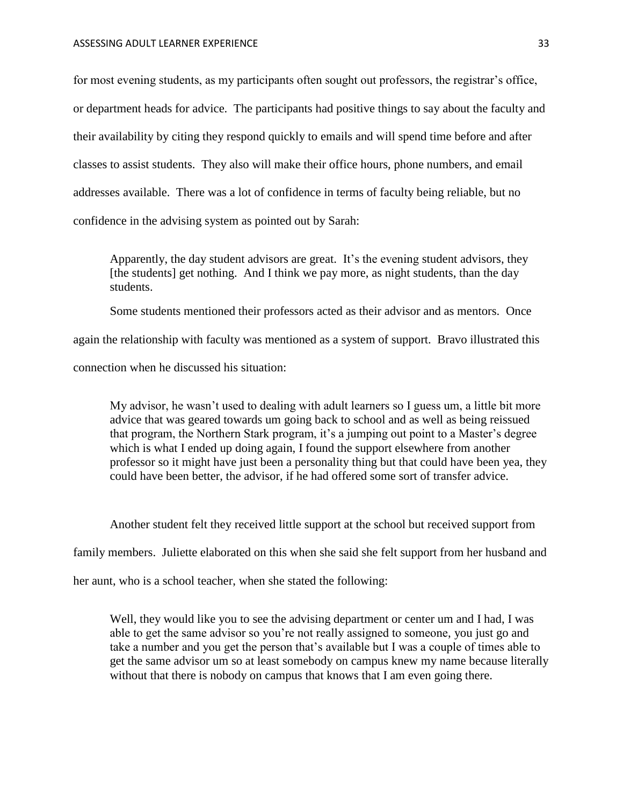for most evening students, as my participants often sought out professors, the registrar's office, or department heads for advice. The participants had positive things to say about the faculty and their availability by citing they respond quickly to emails and will spend time before and after classes to assist students. They also will make their office hours, phone numbers, and email addresses available. There was a lot of confidence in terms of faculty being reliable, but no confidence in the advising system as pointed out by Sarah:

Apparently, the day student advisors are great. It's the evening student advisors, they [the students] get nothing. And I think we pay more, as night students, than the day students.

Some students mentioned their professors acted as their advisor and as mentors. Once

again the relationship with faculty was mentioned as a system of support. Bravo illustrated this

connection when he discussed his situation:

My advisor, he wasn't used to dealing with adult learners so I guess um, a little bit more advice that was geared towards um going back to school and as well as being reissued that program, the Northern Stark program, it's a jumping out point to a Master's degree which is what I ended up doing again, I found the support elsewhere from another professor so it might have just been a personality thing but that could have been yea, they could have been better, the advisor, if he had offered some sort of transfer advice.

Another student felt they received little support at the school but received support from

family members. Juliette elaborated on this when she said she felt support from her husband and

her aunt, who is a school teacher, when she stated the following:

Well, they would like you to see the advising department or center um and I had, I was able to get the same advisor so you're not really assigned to someone, you just go and take a number and you get the person that's available but I was a couple of times able to get the same advisor um so at least somebody on campus knew my name because literally without that there is nobody on campus that knows that I am even going there.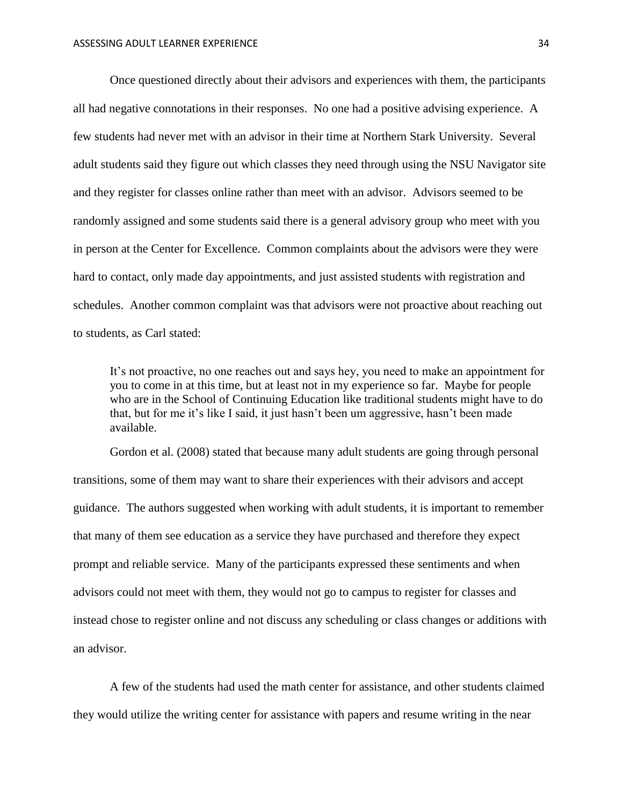Once questioned directly about their advisors and experiences with them, the participants all had negative connotations in their responses. No one had a positive advising experience. A few students had never met with an advisor in their time at Northern Stark University. Several adult students said they figure out which classes they need through using the NSU Navigator site and they register for classes online rather than meet with an advisor. Advisors seemed to be randomly assigned and some students said there is a general advisory group who meet with you in person at the Center for Excellence. Common complaints about the advisors were they were hard to contact, only made day appointments, and just assisted students with registration and schedules. Another common complaint was that advisors were not proactive about reaching out to students, as Carl stated:

It's not proactive, no one reaches out and says hey, you need to make an appointment for you to come in at this time, but at least not in my experience so far. Maybe for people who are in the School of Continuing Education like traditional students might have to do that, but for me it's like I said, it just hasn't been um aggressive, hasn't been made available.

Gordon et al. (2008) stated that because many adult students are going through personal transitions, some of them may want to share their experiences with their advisors and accept guidance. The authors suggested when working with adult students, it is important to remember that many of them see education as a service they have purchased and therefore they expect prompt and reliable service. Many of the participants expressed these sentiments and when advisors could not meet with them, they would not go to campus to register for classes and instead chose to register online and not discuss any scheduling or class changes or additions with an advisor.

A few of the students had used the math center for assistance, and other students claimed they would utilize the writing center for assistance with papers and resume writing in the near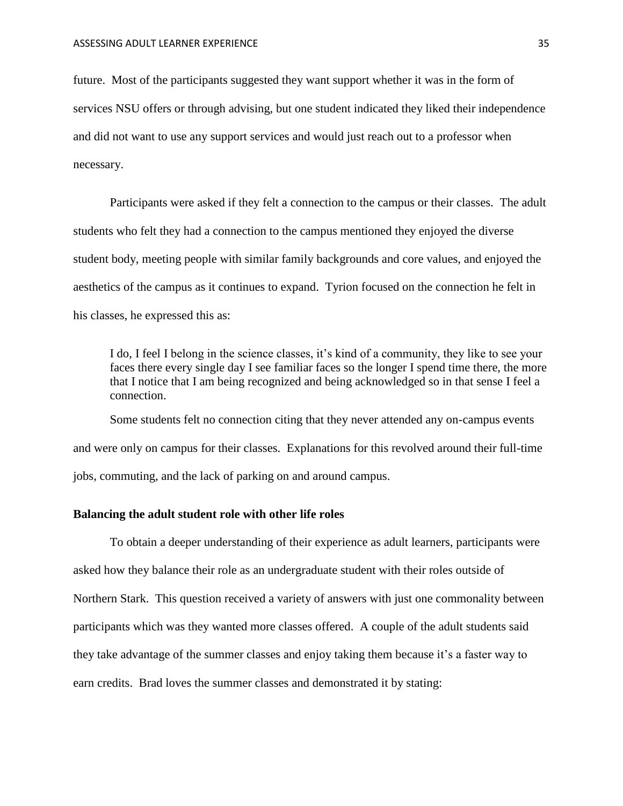future. Most of the participants suggested they want support whether it was in the form of services NSU offers or through advising, but one student indicated they liked their independence and did not want to use any support services and would just reach out to a professor when necessary.

Participants were asked if they felt a connection to the campus or their classes. The adult students who felt they had a connection to the campus mentioned they enjoyed the diverse student body, meeting people with similar family backgrounds and core values, and enjoyed the aesthetics of the campus as it continues to expand. Tyrion focused on the connection he felt in his classes, he expressed this as:

I do, I feel I belong in the science classes, it's kind of a community, they like to see your faces there every single day I see familiar faces so the longer I spend time there, the more that I notice that I am being recognized and being acknowledged so in that sense I feel a connection.

Some students felt no connection citing that they never attended any on-campus events and were only on campus for their classes. Explanations for this revolved around their full-time jobs, commuting, and the lack of parking on and around campus.

#### <span id="page-35-0"></span>**Balancing the adult student role with other life roles**

To obtain a deeper understanding of their experience as adult learners, participants were asked how they balance their role as an undergraduate student with their roles outside of Northern Stark. This question received a variety of answers with just one commonality between participants which was they wanted more classes offered. A couple of the adult students said they take advantage of the summer classes and enjoy taking them because it's a faster way to earn credits. Brad loves the summer classes and demonstrated it by stating: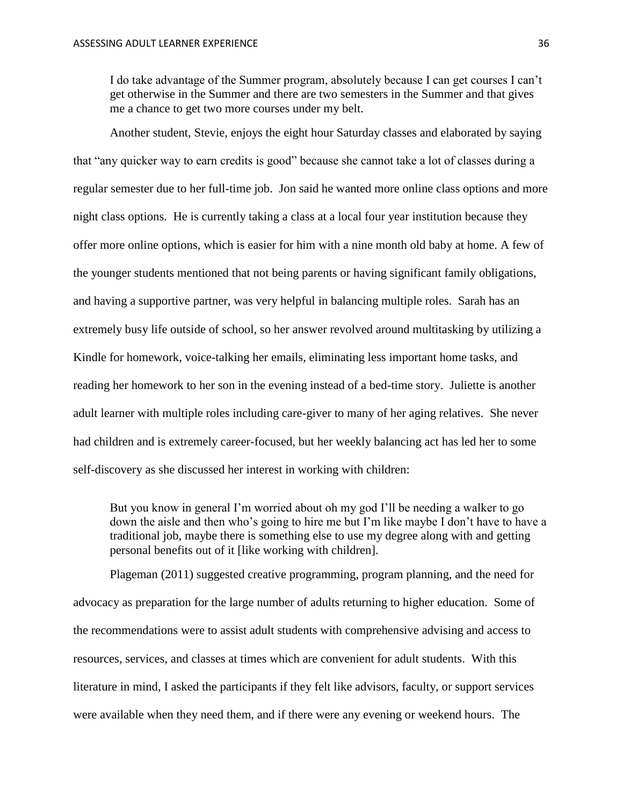I do take advantage of the Summer program, absolutely because I can get courses I can't get otherwise in the Summer and there are two semesters in the Summer and that gives me a chance to get two more courses under my belt.

Another student, Stevie, enjoys the eight hour Saturday classes and elaborated by saying that "any quicker way to earn credits is good" because she cannot take a lot of classes during a regular semester due to her full-time job. Jon said he wanted more online class options and more night class options. He is currently taking a class at a local four year institution because they offer more online options, which is easier for him with a nine month old baby at home. A few of the younger students mentioned that not being parents or having significant family obligations, and having a supportive partner, was very helpful in balancing multiple roles. Sarah has an extremely busy life outside of school, so her answer revolved around multitasking by utilizing a Kindle for homework, voice-talking her emails, eliminating less important home tasks, and reading her homework to her son in the evening instead of a bed-time story. Juliette is another adult learner with multiple roles including care-giver to many of her aging relatives. She never had children and is extremely career-focused, but her weekly balancing act has led her to some self-discovery as she discussed her interest in working with children:

But you know in general I'm worried about oh my god I'll be needing a walker to go down the aisle and then who's going to hire me but I'm like maybe I don't have to have a traditional job, maybe there is something else to use my degree along with and getting personal benefits out of it [like working with children].

Plageman (2011) suggested creative programming, program planning, and the need for advocacy as preparation for the large number of adults returning to higher education. Some of the recommendations were to assist adult students with comprehensive advising and access to resources, services, and classes at times which are convenient for adult students. With this literature in mind, I asked the participants if they felt like advisors, faculty, or support services were available when they need them, and if there were any evening or weekend hours. The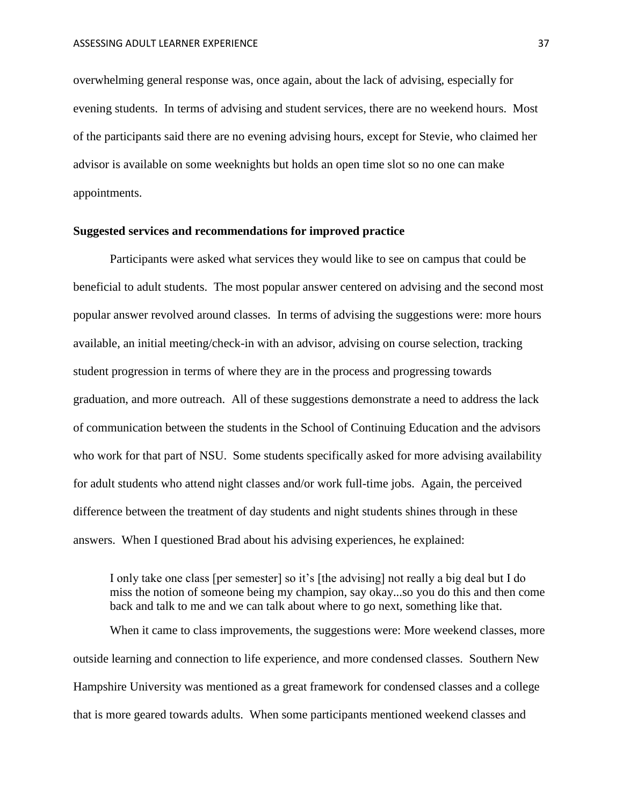overwhelming general response was, once again, about the lack of advising, especially for evening students. In terms of advising and student services, there are no weekend hours. Most of the participants said there are no evening advising hours, except for Stevie, who claimed her advisor is available on some weeknights but holds an open time slot so no one can make appointments.

#### <span id="page-37-0"></span>**Suggested services and recommendations for improved practice**

Participants were asked what services they would like to see on campus that could be beneficial to adult students. The most popular answer centered on advising and the second most popular answer revolved around classes. In terms of advising the suggestions were: more hours available, an initial meeting/check-in with an advisor, advising on course selection, tracking student progression in terms of where they are in the process and progressing towards graduation, and more outreach. All of these suggestions demonstrate a need to address the lack of communication between the students in the School of Continuing Education and the advisors who work for that part of NSU. Some students specifically asked for more advising availability for adult students who attend night classes and/or work full-time jobs. Again, the perceived difference between the treatment of day students and night students shines through in these answers. When I questioned Brad about his advising experiences, he explained:

I only take one class [per semester] so it's [the advising] not really a big deal but I do miss the notion of someone being my champion, say okay...so you do this and then come back and talk to me and we can talk about where to go next, something like that.

When it came to class improvements, the suggestions were: More weekend classes, more outside learning and connection to life experience, and more condensed classes. Southern New Hampshire University was mentioned as a great framework for condensed classes and a college that is more geared towards adults. When some participants mentioned weekend classes and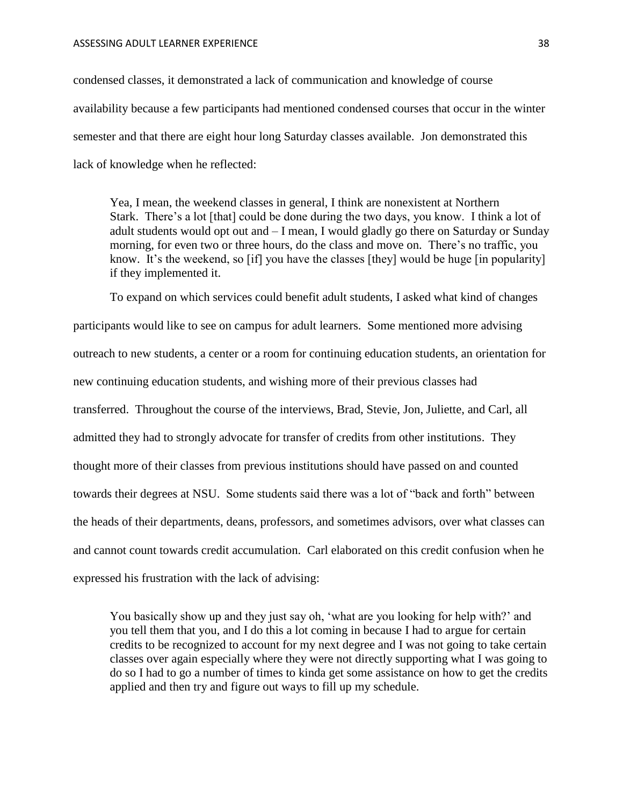condensed classes, it demonstrated a lack of communication and knowledge of course availability because a few participants had mentioned condensed courses that occur in the winter semester and that there are eight hour long Saturday classes available. Jon demonstrated this lack of knowledge when he reflected:

Yea, I mean, the weekend classes in general, I think are nonexistent at Northern Stark. There's a lot [that] could be done during the two days, you know. I think a lot of adult students would opt out and – I mean, I would gladly go there on Saturday or Sunday morning, for even two or three hours, do the class and move on. There's no traffic, you know. It's the weekend, so [if] you have the classes [they] would be huge [in popularity] if they implemented it.

To expand on which services could benefit adult students, I asked what kind of changes participants would like to see on campus for adult learners. Some mentioned more advising outreach to new students, a center or a room for continuing education students, an orientation for new continuing education students, and wishing more of their previous classes had transferred. Throughout the course of the interviews, Brad, Stevie, Jon, Juliette, and Carl, all admitted they had to strongly advocate for transfer of credits from other institutions. They thought more of their classes from previous institutions should have passed on and counted towards their degrees at NSU. Some students said there was a lot of "back and forth" between the heads of their departments, deans, professors, and sometimes advisors, over what classes can and cannot count towards credit accumulation. Carl elaborated on this credit confusion when he expressed his frustration with the lack of advising:

You basically show up and they just say oh, 'what are you looking for help with?' and you tell them that you, and I do this a lot coming in because I had to argue for certain credits to be recognized to account for my next degree and I was not going to take certain classes over again especially where they were not directly supporting what I was going to do so I had to go a number of times to kinda get some assistance on how to get the credits applied and then try and figure out ways to fill up my schedule.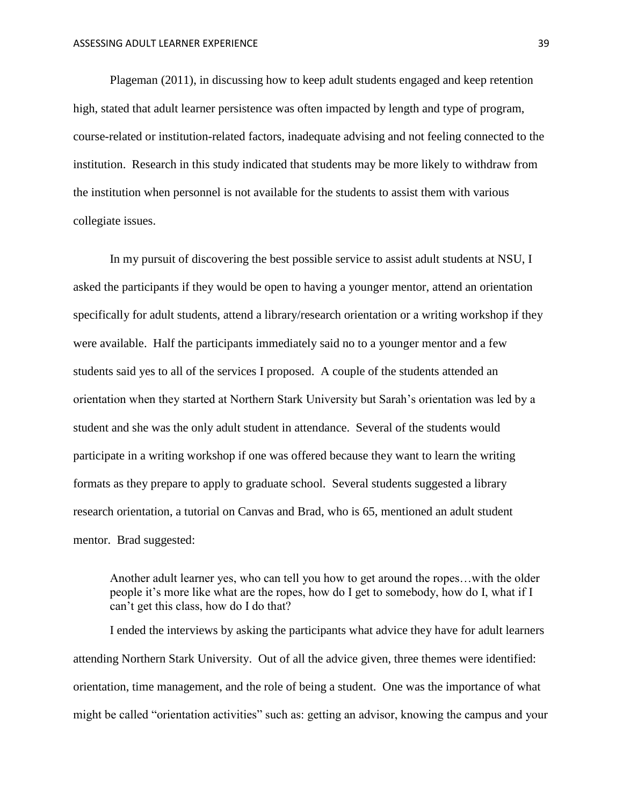Plageman (2011), in discussing how to keep adult students engaged and keep retention high, stated that adult learner persistence was often impacted by length and type of program, course-related or institution-related factors, inadequate advising and not feeling connected to the institution. Research in this study indicated that students may be more likely to withdraw from the institution when personnel is not available for the students to assist them with various collegiate issues.

In my pursuit of discovering the best possible service to assist adult students at NSU, I asked the participants if they would be open to having a younger mentor, attend an orientation specifically for adult students, attend a library/research orientation or a writing workshop if they were available. Half the participants immediately said no to a younger mentor and a few students said yes to all of the services I proposed. A couple of the students attended an orientation when they started at Northern Stark University but Sarah's orientation was led by a student and she was the only adult student in attendance. Several of the students would participate in a writing workshop if one was offered because they want to learn the writing formats as they prepare to apply to graduate school. Several students suggested a library research orientation, a tutorial on Canvas and Brad, who is 65, mentioned an adult student mentor. Brad suggested:

Another adult learner yes, who can tell you how to get around the ropes…with the older people it's more like what are the ropes, how do I get to somebody, how do I, what if I can't get this class, how do I do that?

I ended the interviews by asking the participants what advice they have for adult learners attending Northern Stark University. Out of all the advice given, three themes were identified: orientation, time management, and the role of being a student. One was the importance of what might be called "orientation activities" such as: getting an advisor, knowing the campus and your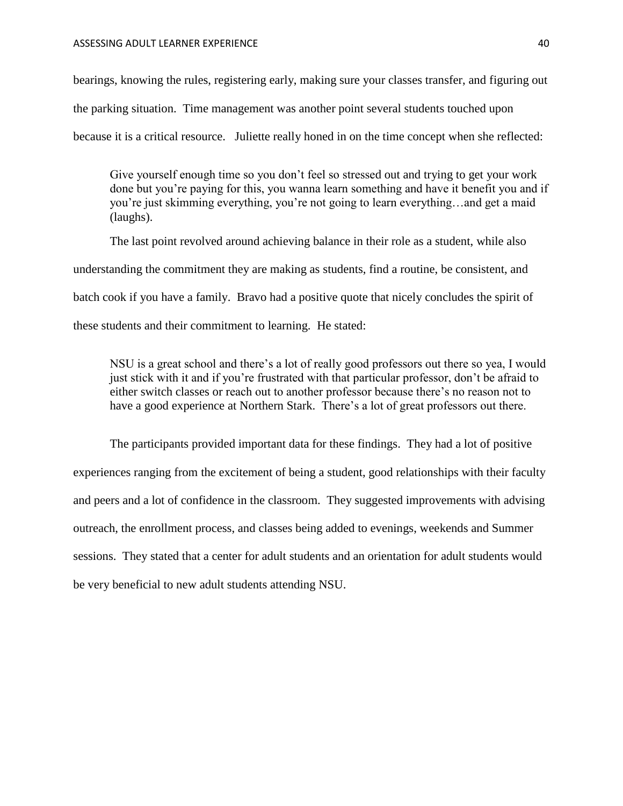bearings, knowing the rules, registering early, making sure your classes transfer, and figuring out the parking situation. Time management was another point several students touched upon because it is a critical resource. Juliette really honed in on the time concept when she reflected:

Give yourself enough time so you don't feel so stressed out and trying to get your work done but you're paying for this, you wanna learn something and have it benefit you and if you're just skimming everything, you're not going to learn everything…and get a maid (laughs).

The last point revolved around achieving balance in their role as a student, while also understanding the commitment they are making as students, find a routine, be consistent, and batch cook if you have a family. Bravo had a positive quote that nicely concludes the spirit of these students and their commitment to learning. He stated:

NSU is a great school and there's a lot of really good professors out there so yea, I would just stick with it and if you're frustrated with that particular professor, don't be afraid to either switch classes or reach out to another professor because there's no reason not to have a good experience at Northern Stark. There's a lot of great professors out there.

The participants provided important data for these findings. They had a lot of positive experiences ranging from the excitement of being a student, good relationships with their faculty and peers and a lot of confidence in the classroom. They suggested improvements with advising outreach, the enrollment process, and classes being added to evenings, weekends and Summer sessions. They stated that a center for adult students and an orientation for adult students would be very beneficial to new adult students attending NSU.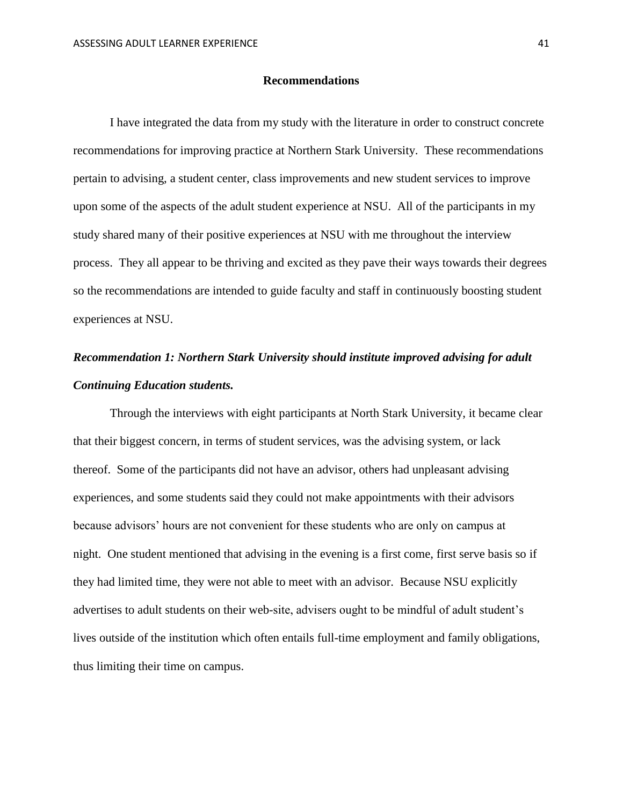#### **Recommendations**

<span id="page-41-0"></span>I have integrated the data from my study with the literature in order to construct concrete recommendations for improving practice at Northern Stark University. These recommendations pertain to advising, a student center, class improvements and new student services to improve upon some of the aspects of the adult student experience at NSU. All of the participants in my study shared many of their positive experiences at NSU with me throughout the interview process. They all appear to be thriving and excited as they pave their ways towards their degrees so the recommendations are intended to guide faculty and staff in continuously boosting student experiences at NSU.

### <span id="page-41-1"></span>*Recommendation 1: Northern Stark University should institute improved advising for adult Continuing Education students.*

Through the interviews with eight participants at North Stark University, it became clear that their biggest concern, in terms of student services, was the advising system, or lack thereof. Some of the participants did not have an advisor, others had unpleasant advising experiences, and some students said they could not make appointments with their advisors because advisors' hours are not convenient for these students who are only on campus at night. One student mentioned that advising in the evening is a first come, first serve basis so if they had limited time, they were not able to meet with an advisor. Because NSU explicitly advertises to adult students on their web-site, advisers ought to be mindful of adult student's lives outside of the institution which often entails full-time employment and family obligations, thus limiting their time on campus.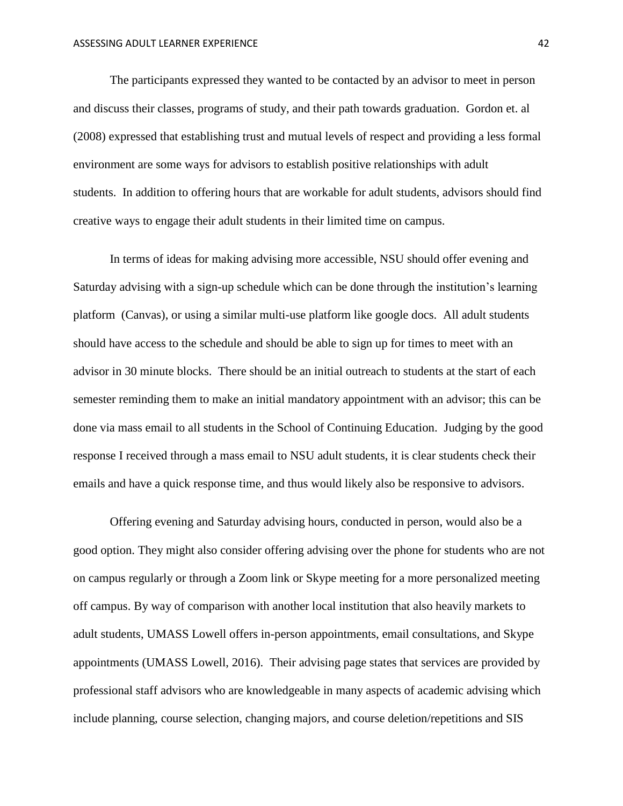The participants expressed they wanted to be contacted by an advisor to meet in person and discuss their classes, programs of study, and their path towards graduation. Gordon et. al (2008) expressed that establishing trust and mutual levels of respect and providing a less formal environment are some ways for advisors to establish positive relationships with adult students. In addition to offering hours that are workable for adult students, advisors should find creative ways to engage their adult students in their limited time on campus.

In terms of ideas for making advising more accessible, NSU should offer evening and Saturday advising with a sign-up schedule which can be done through the institution's learning platform (Canvas), or using a similar multi-use platform like google docs. All adult students should have access to the schedule and should be able to sign up for times to meet with an advisor in 30 minute blocks. There should be an initial outreach to students at the start of each semester reminding them to make an initial mandatory appointment with an advisor; this can be done via mass email to all students in the School of Continuing Education. Judging by the good response I received through a mass email to NSU adult students, it is clear students check their emails and have a quick response time, and thus would likely also be responsive to advisors.

Offering evening and Saturday advising hours, conducted in person, would also be a good option. They might also consider offering advising over the phone for students who are not on campus regularly or through a Zoom link or Skype meeting for a more personalized meeting off campus. By way of comparison with another local institution that also heavily markets to adult students, UMASS Lowell offers in-person appointments, email consultations, and Skype appointments (UMASS Lowell, 2016). Their advising page states that services are provided by professional staff advisors who are knowledgeable in many aspects of academic advising which include planning, course selection, changing majors, and course deletion/repetitions and SIS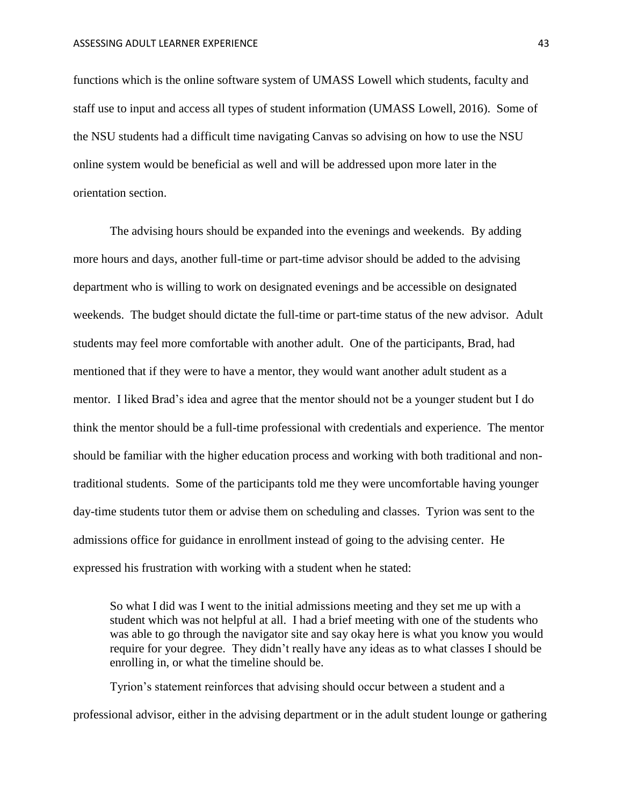functions which is the online software system of UMASS Lowell which students, faculty and staff use to input and access all types of student information (UMASS Lowell, 2016). Some of the NSU students had a difficult time navigating Canvas so advising on how to use the NSU online system would be beneficial as well and will be addressed upon more later in the orientation section.

The advising hours should be expanded into the evenings and weekends. By adding more hours and days, another full-time or part-time advisor should be added to the advising department who is willing to work on designated evenings and be accessible on designated weekends. The budget should dictate the full-time or part-time status of the new advisor. Adult students may feel more comfortable with another adult. One of the participants, Brad, had mentioned that if they were to have a mentor, they would want another adult student as a mentor. I liked Brad's idea and agree that the mentor should not be a younger student but I do think the mentor should be a full-time professional with credentials and experience. The mentor should be familiar with the higher education process and working with both traditional and nontraditional students. Some of the participants told me they were uncomfortable having younger day-time students tutor them or advise them on scheduling and classes. Tyrion was sent to the admissions office for guidance in enrollment instead of going to the advising center. He expressed his frustration with working with a student when he stated:

So what I did was I went to the initial admissions meeting and they set me up with a student which was not helpful at all. I had a brief meeting with one of the students who was able to go through the navigator site and say okay here is what you know you would require for your degree. They didn't really have any ideas as to what classes I should be enrolling in, or what the timeline should be.

Tyrion's statement reinforces that advising should occur between a student and a professional advisor, either in the advising department or in the adult student lounge or gathering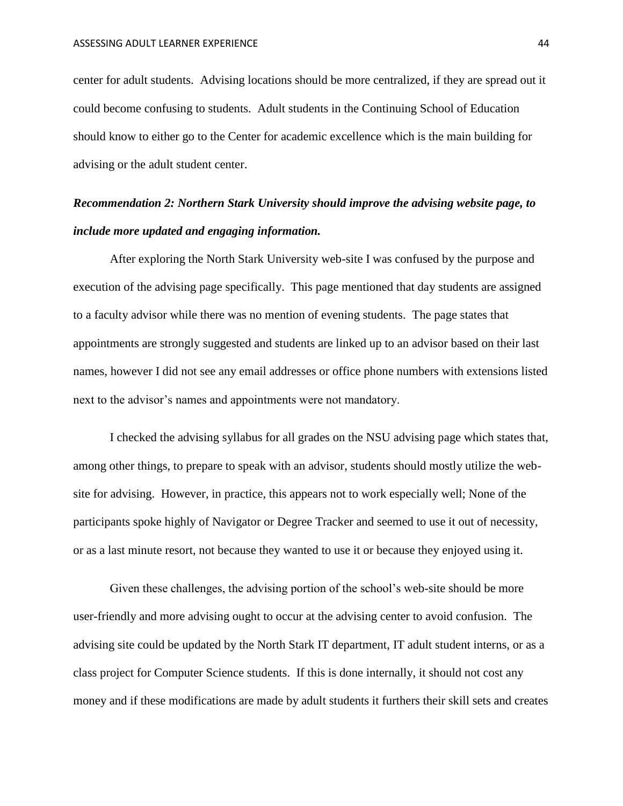center for adult students. Advising locations should be more centralized, if they are spread out it could become confusing to students. Adult students in the Continuing School of Education should know to either go to the Center for academic excellence which is the main building for advising or the adult student center.

## <span id="page-44-0"></span>*Recommendation 2: Northern Stark University should improve the advising website page, to include more updated and engaging information.*

After exploring the North Stark University web-site I was confused by the purpose and execution of the advising page specifically. This page mentioned that day students are assigned to a faculty advisor while there was no mention of evening students. The page states that appointments are strongly suggested and students are linked up to an advisor based on their last names, however I did not see any email addresses or office phone numbers with extensions listed next to the advisor's names and appointments were not mandatory.

I checked the advising syllabus for all grades on the NSU advising page which states that, among other things, to prepare to speak with an advisor, students should mostly utilize the website for advising. However, in practice, this appears not to work especially well; None of the participants spoke highly of Navigator or Degree Tracker and seemed to use it out of necessity, or as a last minute resort, not because they wanted to use it or because they enjoyed using it.

Given these challenges, the advising portion of the school's web-site should be more user-friendly and more advising ought to occur at the advising center to avoid confusion. The advising site could be updated by the North Stark IT department, IT adult student interns, or as a class project for Computer Science students. If this is done internally, it should not cost any money and if these modifications are made by adult students it furthers their skill sets and creates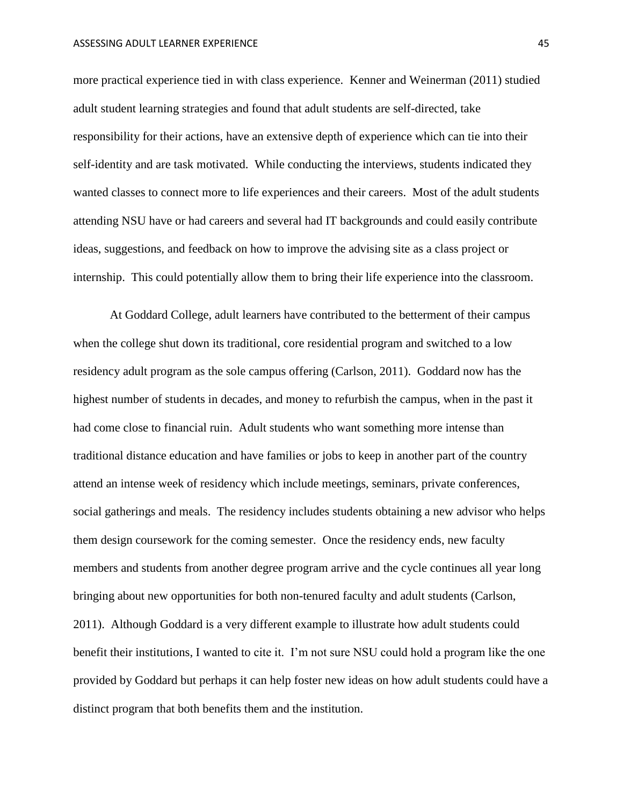more practical experience tied in with class experience. Kenner and Weinerman (2011) studied adult student learning strategies and found that adult students are self-directed, take responsibility for their actions, have an extensive depth of experience which can tie into their self-identity and are task motivated. While conducting the interviews, students indicated they wanted classes to connect more to life experiences and their careers. Most of the adult students attending NSU have or had careers and several had IT backgrounds and could easily contribute ideas, suggestions, and feedback on how to improve the advising site as a class project or internship. This could potentially allow them to bring their life experience into the classroom.

At Goddard College, adult learners have contributed to the betterment of their campus when the college shut down its traditional, core residential program and switched to a low residency adult program as the sole campus offering (Carlson, 2011). Goddard now has the highest number of students in decades, and money to refurbish the campus, when in the past it had come close to financial ruin. Adult students who want something more intense than traditional distance education and have families or jobs to keep in another part of the country attend an intense week of residency which include meetings, seminars, private conferences, social gatherings and meals. The residency includes students obtaining a new advisor who helps them design coursework for the coming semester. Once the residency ends, new faculty members and students from another degree program arrive and the cycle continues all year long bringing about new opportunities for both non-tenured faculty and adult students (Carlson, 2011). Although Goddard is a very different example to illustrate how adult students could benefit their institutions, I wanted to cite it. I'm not sure NSU could hold a program like the one provided by Goddard but perhaps it can help foster new ideas on how adult students could have a distinct program that both benefits them and the institution.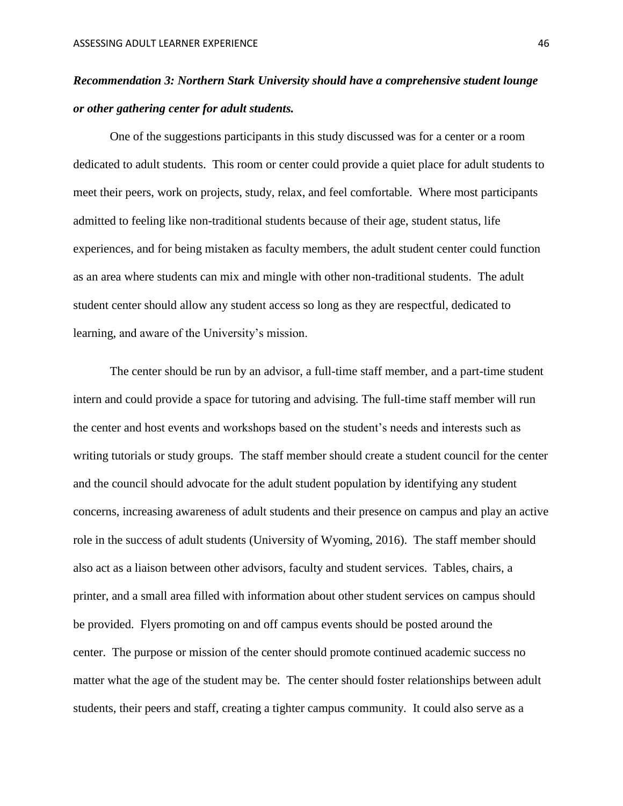## <span id="page-46-0"></span>*Recommendation 3: Northern Stark University should have a comprehensive student lounge or other gathering center for adult students.*

One of the suggestions participants in this study discussed was for a center or a room dedicated to adult students. This room or center could provide a quiet place for adult students to meet their peers, work on projects, study, relax, and feel comfortable. Where most participants admitted to feeling like non-traditional students because of their age, student status, life experiences, and for being mistaken as faculty members, the adult student center could function as an area where students can mix and mingle with other non-traditional students. The adult student center should allow any student access so long as they are respectful, dedicated to learning, and aware of the University's mission.

The center should be run by an advisor, a full-time staff member, and a part-time student intern and could provide a space for tutoring and advising. The full-time staff member will run the center and host events and workshops based on the student's needs and interests such as writing tutorials or study groups. The staff member should create a student council for the center and the council should advocate for the adult student population by identifying any student concerns, increasing awareness of adult students and their presence on campus and play an active role in the success of adult students (University of Wyoming, 2016). The staff member should also act as a liaison between other advisors, faculty and student services. Tables, chairs, a printer, and a small area filled with information about other student services on campus should be provided. Flyers promoting on and off campus events should be posted around the center. The purpose or mission of the center should promote continued academic success no matter what the age of the student may be. The center should foster relationships between adult students, their peers and staff, creating a tighter campus community. It could also serve as a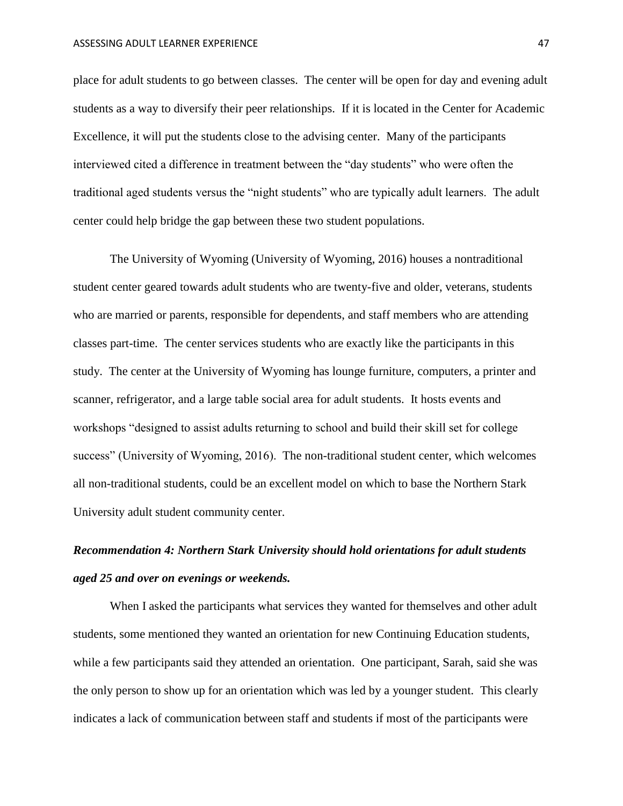place for adult students to go between classes. The center will be open for day and evening adult students as a way to diversify their peer relationships. If it is located in the Center for Academic Excellence, it will put the students close to the advising center. Many of the participants interviewed cited a difference in treatment between the "day students" who were often the traditional aged students versus the "night students" who are typically adult learners. The adult center could help bridge the gap between these two student populations.

The University of Wyoming (University of Wyoming, 2016) houses a nontraditional student center geared towards adult students who are twenty-five and older, veterans, students who are married or parents, responsible for dependents, and staff members who are attending classes part-time. The center services students who are exactly like the participants in this study. The center at the University of Wyoming has lounge furniture, computers, a printer and scanner, refrigerator, and a large table social area for adult students. It hosts events and workshops "designed to assist adults returning to school and build their skill set for college success" (University of Wyoming, 2016). The non-traditional student center, which welcomes all non-traditional students, could be an excellent model on which to base the Northern Stark University adult student community center.

## <span id="page-47-0"></span>*Recommendation 4: Northern Stark University should hold orientations for adult students aged 25 and over on evenings or weekends.*

When I asked the participants what services they wanted for themselves and other adult students, some mentioned they wanted an orientation for new Continuing Education students, while a few participants said they attended an orientation. One participant, Sarah, said she was the only person to show up for an orientation which was led by a younger student. This clearly indicates a lack of communication between staff and students if most of the participants were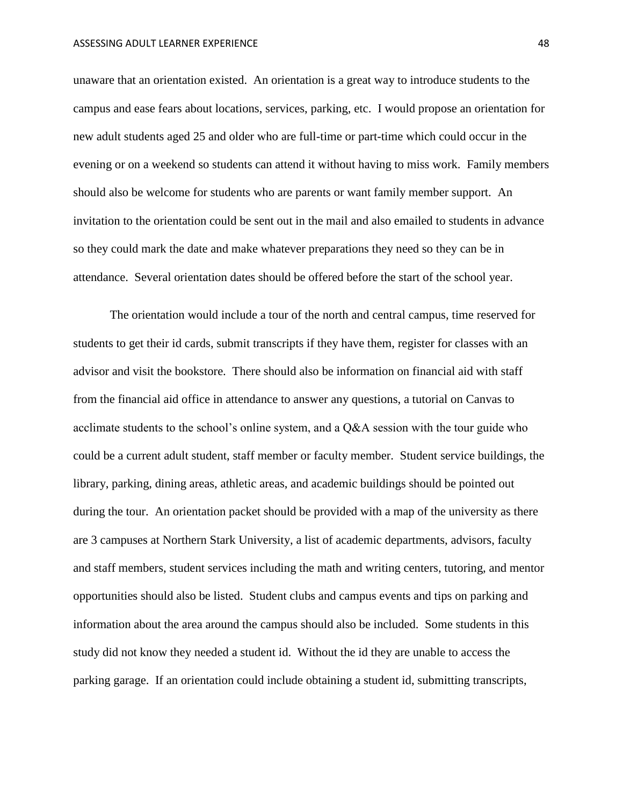unaware that an orientation existed. An orientation is a great way to introduce students to the campus and ease fears about locations, services, parking, etc. I would propose an orientation for new adult students aged 25 and older who are full-time or part-time which could occur in the evening or on a weekend so students can attend it without having to miss work. Family members should also be welcome for students who are parents or want family member support. An invitation to the orientation could be sent out in the mail and also emailed to students in advance so they could mark the date and make whatever preparations they need so they can be in attendance. Several orientation dates should be offered before the start of the school year.

The orientation would include a tour of the north and central campus, time reserved for students to get their id cards, submit transcripts if they have them, register for classes with an advisor and visit the bookstore. There should also be information on financial aid with staff from the financial aid office in attendance to answer any questions, a tutorial on Canvas to acclimate students to the school's online system, and a Q&A session with the tour guide who could be a current adult student, staff member or faculty member. Student service buildings, the library, parking, dining areas, athletic areas, and academic buildings should be pointed out during the tour. An orientation packet should be provided with a map of the university as there are 3 campuses at Northern Stark University, a list of academic departments, advisors, faculty and staff members, student services including the math and writing centers, tutoring, and mentor opportunities should also be listed. Student clubs and campus events and tips on parking and information about the area around the campus should also be included. Some students in this study did not know they needed a student id. Without the id they are unable to access the parking garage. If an orientation could include obtaining a student id, submitting transcripts,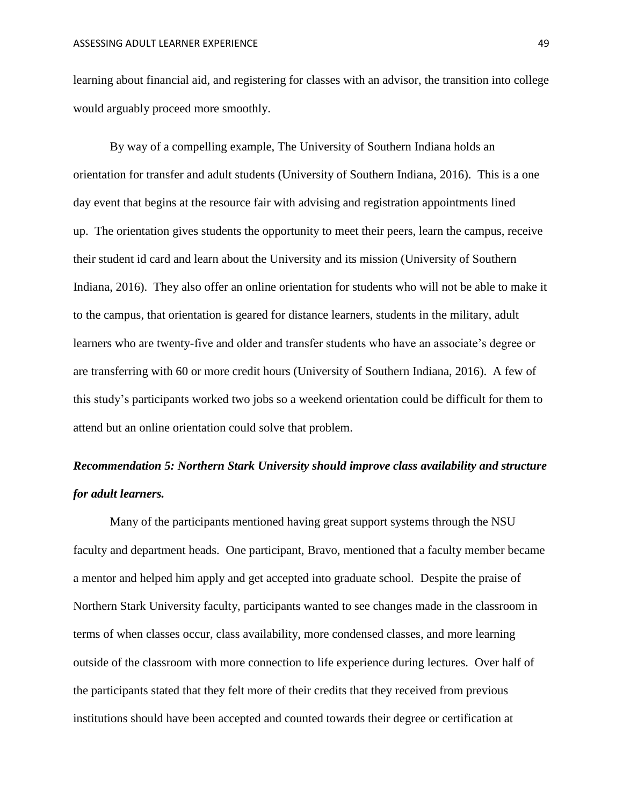learning about financial aid, and registering for classes with an advisor, the transition into college would arguably proceed more smoothly.

By way of a compelling example, The University of Southern Indiana holds an orientation for transfer and adult students (University of Southern Indiana, 2016). This is a one day event that begins at the resource fair with advising and registration appointments lined up. The orientation gives students the opportunity to meet their peers, learn the campus, receive their student id card and learn about the University and its mission (University of Southern Indiana, 2016). They also offer an online orientation for students who will not be able to make it to the campus, that orientation is geared for distance learners, students in the military, adult learners who are twenty-five and older and transfer students who have an associate's degree or are transferring with 60 or more credit hours (University of Southern Indiana, 2016). A few of this study's participants worked two jobs so a weekend orientation could be difficult for them to attend but an online orientation could solve that problem.

### <span id="page-49-0"></span>*Recommendation 5: Northern Stark University should improve class availability and structure for adult learners.*

Many of the participants mentioned having great support systems through the NSU faculty and department heads. One participant, Bravo, mentioned that a faculty member became a mentor and helped him apply and get accepted into graduate school. Despite the praise of Northern Stark University faculty, participants wanted to see changes made in the classroom in terms of when classes occur, class availability, more condensed classes, and more learning outside of the classroom with more connection to life experience during lectures. Over half of the participants stated that they felt more of their credits that they received from previous institutions should have been accepted and counted towards their degree or certification at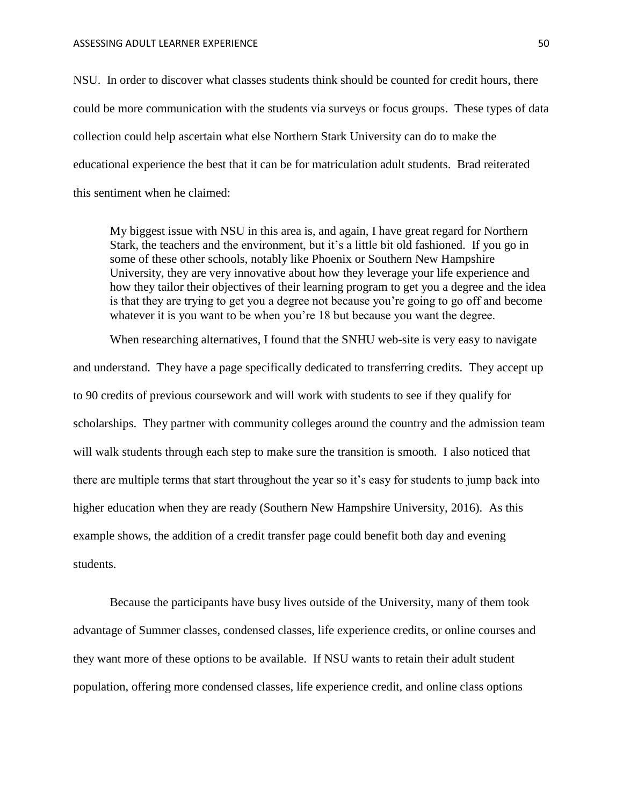NSU. In order to discover what classes students think should be counted for credit hours, there could be more communication with the students via surveys or focus groups. These types of data collection could help ascertain what else Northern Stark University can do to make the educational experience the best that it can be for matriculation adult students. Brad reiterated this sentiment when he claimed:

My biggest issue with NSU in this area is, and again, I have great regard for Northern Stark, the teachers and the environment, but it's a little bit old fashioned. If you go in some of these other schools, notably like Phoenix or Southern New Hampshire University, they are very innovative about how they leverage your life experience and how they tailor their objectives of their learning program to get you a degree and the idea is that they are trying to get you a degree not because you're going to go off and become whatever it is you want to be when you're 18 but because you want the degree.

When researching alternatives, I found that the SNHU web-site is very easy to navigate and understand. They have a page specifically dedicated to transferring credits. They accept up to 90 credits of previous coursework and will work with students to see if they qualify for scholarships. They partner with community colleges around the country and the admission team will walk students through each step to make sure the transition is smooth. I also noticed that there are multiple terms that start throughout the year so it's easy for students to jump back into higher education when they are ready (Southern New Hampshire University, 2016). As this example shows, the addition of a credit transfer page could benefit both day and evening students.

Because the participants have busy lives outside of the University, many of them took advantage of Summer classes, condensed classes, life experience credits, or online courses and they want more of these options to be available. If NSU wants to retain their adult student population, offering more condensed classes, life experience credit, and online class options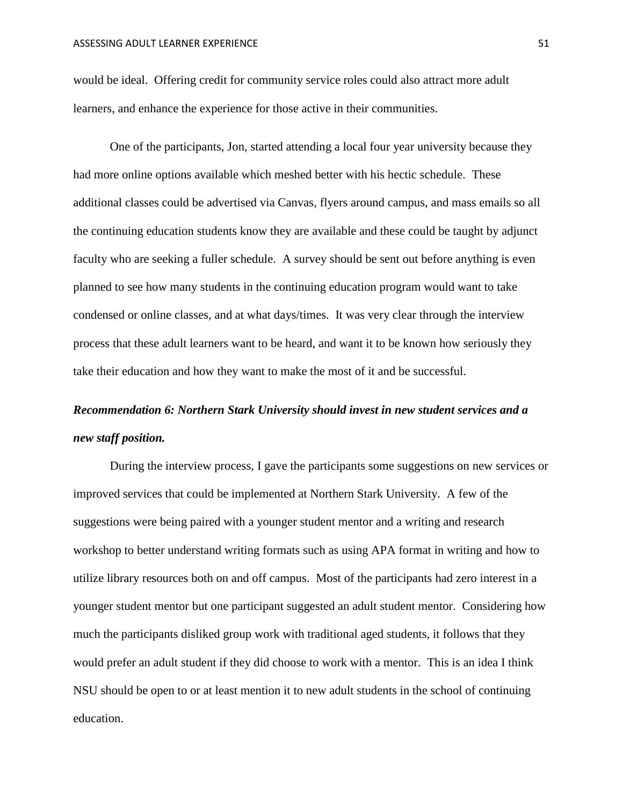would be ideal. Offering credit for community service roles could also attract more adult learners, and enhance the experience for those active in their communities.

One of the participants, Jon, started attending a local four year university because they had more online options available which meshed better with his hectic schedule. These additional classes could be advertised via Canvas, flyers around campus, and mass emails so all the continuing education students know they are available and these could be taught by adjunct faculty who are seeking a fuller schedule. A survey should be sent out before anything is even planned to see how many students in the continuing education program would want to take condensed or online classes, and at what days/times. It was very clear through the interview process that these adult learners want to be heard, and want it to be known how seriously they take their education and how they want to make the most of it and be successful.

## <span id="page-51-0"></span>*Recommendation 6: Northern Stark University should invest in new student services and a new staff position.*

During the interview process, I gave the participants some suggestions on new services or improved services that could be implemented at Northern Stark University. A few of the suggestions were being paired with a younger student mentor and a writing and research workshop to better understand writing formats such as using APA format in writing and how to utilize library resources both on and off campus. Most of the participants had zero interest in a younger student mentor but one participant suggested an adult student mentor. Considering how much the participants disliked group work with traditional aged students, it follows that they would prefer an adult student if they did choose to work with a mentor. This is an idea I think NSU should be open to or at least mention it to new adult students in the school of continuing education.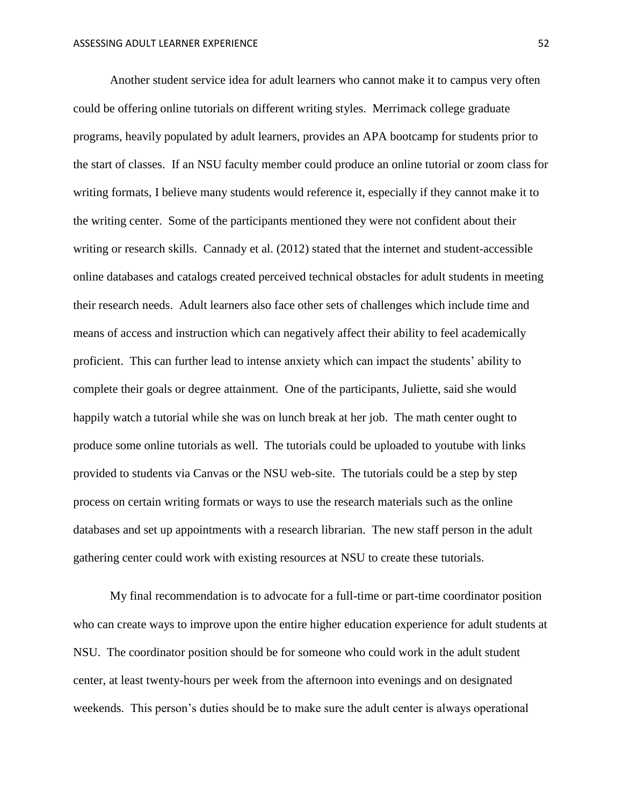Another student service idea for adult learners who cannot make it to campus very often could be offering online tutorials on different writing styles. Merrimack college graduate programs, heavily populated by adult learners, provides an APA bootcamp for students prior to the start of classes. If an NSU faculty member could produce an online tutorial or zoom class for writing formats, I believe many students would reference it, especially if they cannot make it to the writing center. Some of the participants mentioned they were not confident about their writing or research skills. Cannady et al. (2012) stated that the internet and student-accessible online databases and catalogs created perceived technical obstacles for adult students in meeting their research needs. Adult learners also face other sets of challenges which include time and means of access and instruction which can negatively affect their ability to feel academically proficient. This can further lead to intense anxiety which can impact the students' ability to complete their goals or degree attainment. One of the participants, Juliette, said she would happily watch a tutorial while she was on lunch break at her job. The math center ought to produce some online tutorials as well. The tutorials could be uploaded to youtube with links provided to students via Canvas or the NSU web-site. The tutorials could be a step by step process on certain writing formats or ways to use the research materials such as the online databases and set up appointments with a research librarian. The new staff person in the adult gathering center could work with existing resources at NSU to create these tutorials.

My final recommendation is to advocate for a full-time or part-time coordinator position who can create ways to improve upon the entire higher education experience for adult students at NSU. The coordinator position should be for someone who could work in the adult student center, at least twenty-hours per week from the afternoon into evenings and on designated weekends. This person's duties should be to make sure the adult center is always operational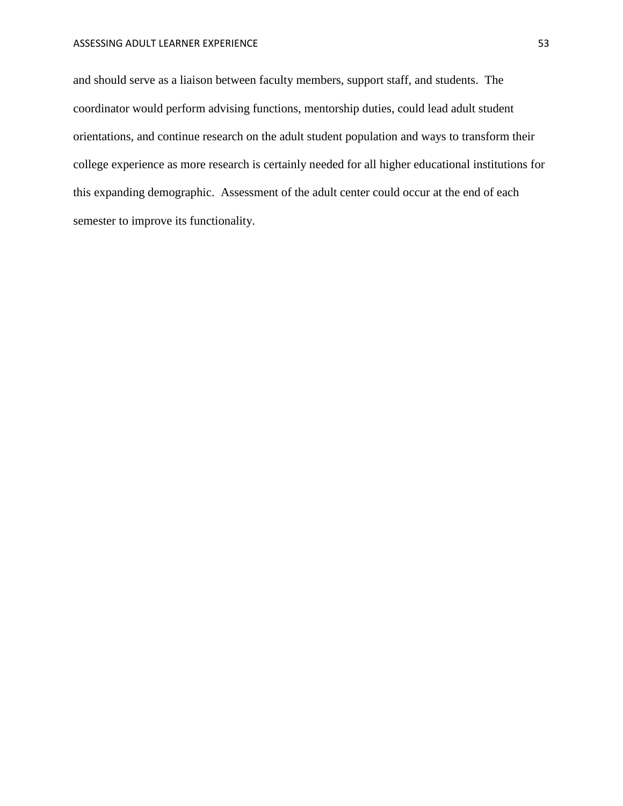and should serve as a liaison between faculty members, support staff, and students. The coordinator would perform advising functions, mentorship duties, could lead adult student orientations, and continue research on the adult student population and ways to transform their college experience as more research is certainly needed for all higher educational institutions for this expanding demographic. Assessment of the adult center could occur at the end of each semester to improve its functionality.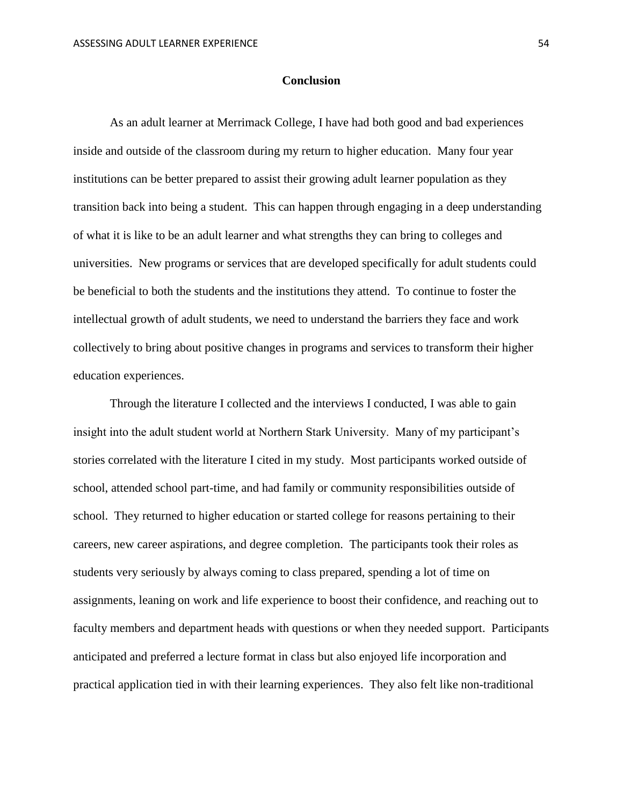#### **Conclusion**

<span id="page-54-0"></span>As an adult learner at Merrimack College, I have had both good and bad experiences inside and outside of the classroom during my return to higher education. Many four year institutions can be better prepared to assist their growing adult learner population as they transition back into being a student. This can happen through engaging in a deep understanding of what it is like to be an adult learner and what strengths they can bring to colleges and universities. New programs or services that are developed specifically for adult students could be beneficial to both the students and the institutions they attend. To continue to foster the intellectual growth of adult students, we need to understand the barriers they face and work collectively to bring about positive changes in programs and services to transform their higher education experiences.

Through the literature I collected and the interviews I conducted, I was able to gain insight into the adult student world at Northern Stark University. Many of my participant's stories correlated with the literature I cited in my study. Most participants worked outside of school, attended school part-time, and had family or community responsibilities outside of school. They returned to higher education or started college for reasons pertaining to their careers, new career aspirations, and degree completion. The participants took their roles as students very seriously by always coming to class prepared, spending a lot of time on assignments, leaning on work and life experience to boost their confidence, and reaching out to faculty members and department heads with questions or when they needed support. Participants anticipated and preferred a lecture format in class but also enjoyed life incorporation and practical application tied in with their learning experiences. They also felt like non-traditional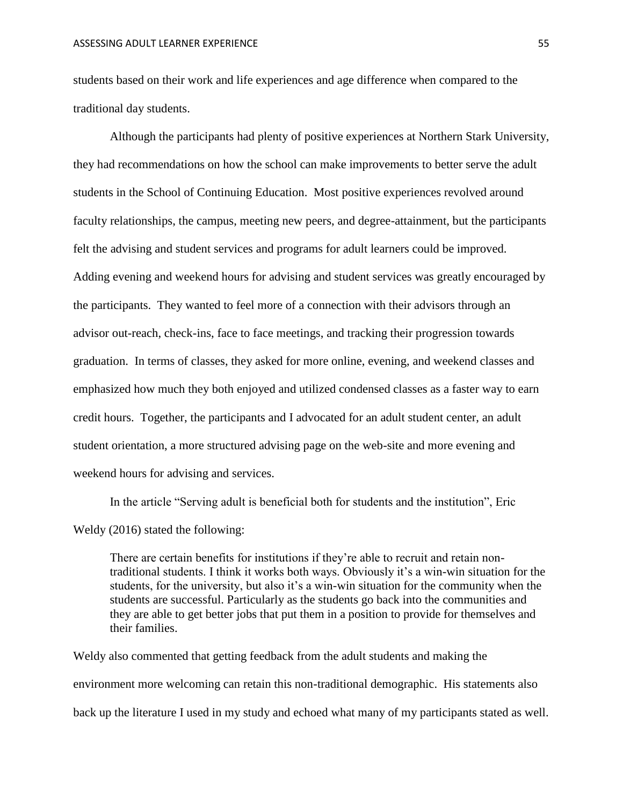students based on their work and life experiences and age difference when compared to the traditional day students.

Although the participants had plenty of positive experiences at Northern Stark University, they had recommendations on how the school can make improvements to better serve the adult students in the School of Continuing Education. Most positive experiences revolved around faculty relationships, the campus, meeting new peers, and degree-attainment, but the participants felt the advising and student services and programs for adult learners could be improved. Adding evening and weekend hours for advising and student services was greatly encouraged by the participants. They wanted to feel more of a connection with their advisors through an advisor out-reach, check-ins, face to face meetings, and tracking their progression towards graduation. In terms of classes, they asked for more online, evening, and weekend classes and emphasized how much they both enjoyed and utilized condensed classes as a faster way to earn credit hours. Together, the participants and I advocated for an adult student center, an adult student orientation, a more structured advising page on the web-site and more evening and weekend hours for advising and services.

In the article "Serving adult is beneficial both for students and the institution", Eric Weldy (2016) stated the following:

There are certain benefits for institutions if they're able to recruit and retain nontraditional students. I think it works both ways. Obviously it's a win-win situation for the students, for the university, but also it's a win-win situation for the community when the students are successful. Particularly as the students go back into the communities and they are able to get better jobs that put them in a position to provide for themselves and their families.

Weldy also commented that getting feedback from the adult students and making the environment more welcoming can retain this non-traditional demographic. His statements also back up the literature I used in my study and echoed what many of my participants stated as well.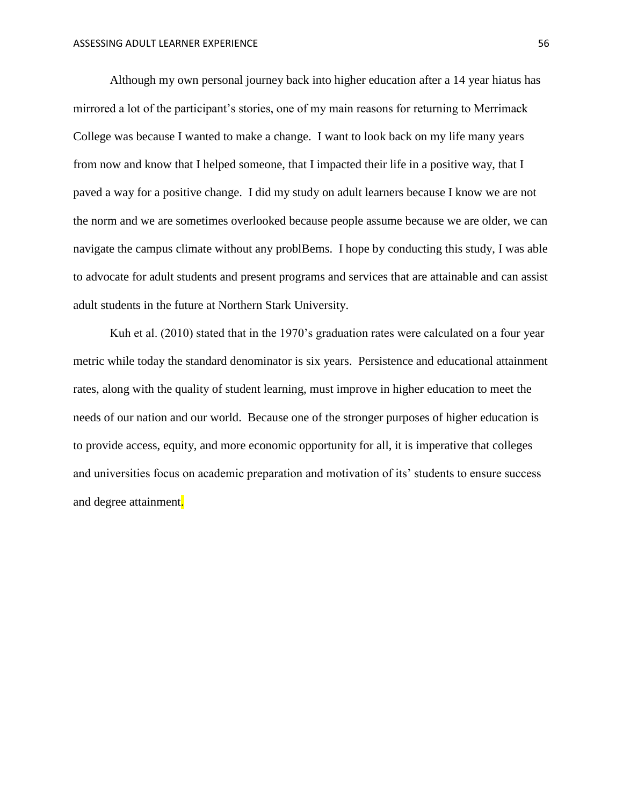Although my own personal journey back into higher education after a 14 year hiatus has mirrored a lot of the participant's stories, one of my main reasons for returning to Merrimack College was because I wanted to make a change. I want to look back on my life many years from now and know that I helped someone, that I impacted their life in a positive way, that I paved a way for a positive change. I did my study on adult learners because I know we are not the norm and we are sometimes overlooked because people assume because we are older, we can navigate the campus climate without any problBems. I hope by conducting this study, I was able to advocate for adult students and present programs and services that are attainable and can assist adult students in the future at Northern Stark University.

Kuh et al. (2010) stated that in the 1970's graduation rates were calculated on a four year metric while today the standard denominator is six years. Persistence and educational attainment rates, along with the quality of student learning, must improve in higher education to meet the needs of our nation and our world. Because one of the stronger purposes of higher education is to provide access, equity, and more economic opportunity for all, it is imperative that colleges and universities focus on academic preparation and motivation of its' students to ensure success and degree attainment.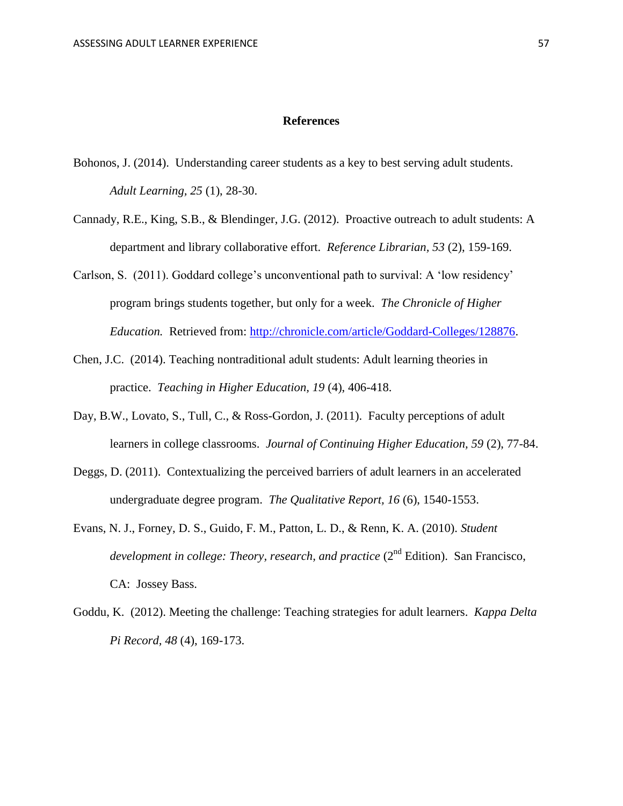#### **References**

- <span id="page-57-0"></span>Bohonos, J. (2014). Understanding career students as a key to best serving adult students. *Adult Learning, 25* (1), 28-30.
- Cannady, R.E., King, S.B., & Blendinger, J.G. (2012). Proactive outreach to adult students: A department and library collaborative effort. *Reference Librarian, 53* (2), 159-169.
- Carlson, S. (2011). Goddard college's unconventional path to survival: A 'low residency' program brings students together, but only for a week. *The Chronicle of Higher Education.* Retrieved from: [http://chronicle.com/article/Goddard-Colleges/128876.](http://chronicle.com/article/Goddard-Colleges/128876)
- Chen, J.C. (2014). Teaching nontraditional adult students: Adult learning theories in practice. *Teaching in Higher Education, 19* (4), 406-418.
- Day, B.W., Lovato, S., Tull, C., & Ross-Gordon, J. (2011). Faculty perceptions of adult learners in college classrooms. *Journal of Continuing Higher Education, 59* (2), 77-84.
- Deggs, D. (2011). Contextualizing the perceived barriers of adult learners in an accelerated undergraduate degree program. *The Qualitative Report, 16* (6), 1540-1553.
- Evans, N. J., Forney, D. S., Guido, F. M., Patton, L. D., & Renn, K. A. (2010). *Student development in college: Theory, research, and practice* (2<sup>nd</sup> Edition). San Francisco, CA: Jossey Bass.
- Goddu, K. (2012). Meeting the challenge: Teaching strategies for adult learners. *Kappa Delta Pi Record, 48* (4), 169-173.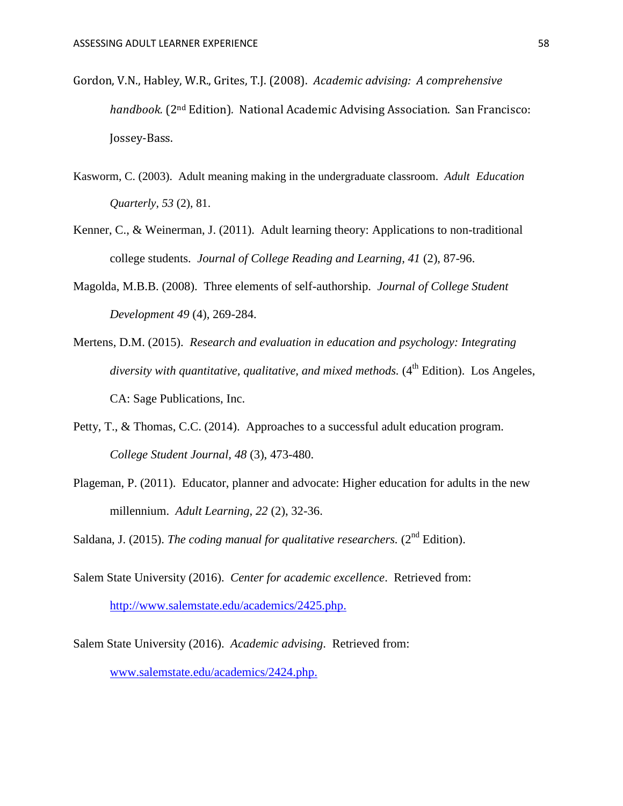- Gordon, V.N., Habley, W.R., Grites, T.J. (2008). *Academic advising: A comprehensive handbook.* (2nd Edition)*.* National Academic Advising Association. San Francisco: Jossey-Bass.
- Kasworm, C. (2003). Adult meaning making in the undergraduate classroom. *Adult Education Quarterly, 53* (2), 81.
- Kenner, C., & Weinerman, J. (2011). Adult learning theory: Applications to non-traditional college students. *Journal of College Reading and Learning, 41* (2), 87-96.
- Magolda, M.B.B. (2008). Three elements of self-authorship. *Journal of College Student Development 49* (4), 269-284.
- Mertens, D.M. (2015). *Research and evaluation in education and psychology: Integrating*  diversity with quantitative, qualitative, and mixed methods. (4<sup>th</sup> Edition). Los Angeles, CA: Sage Publications, Inc.
- Petty, T., & Thomas, C.C. (2014). Approaches to a successful adult education program. *College Student Journal, 48* (3), 473-480.
- Plageman, P. (2011). Educator, planner and advocate: Higher education for adults in the new millennium. *Adult Learning, 22* (2), 32-36.
- Saldana, J. (2015). *The coding manual for qualitative researchers.* (2<sup>nd</sup> Edition).
- Salem State University (2016). *Center for academic excellence*. Retrieved from: [http://www.salemstate.edu/academics/2425.php.](http://www.salemstate.edu/academics/2425.php)
- Salem State University (2016). *Academic advising*. Retrieved from: [www.salemstate.edu/academics/2424.php.](http://www.salemstate.edu/academics/2424.php)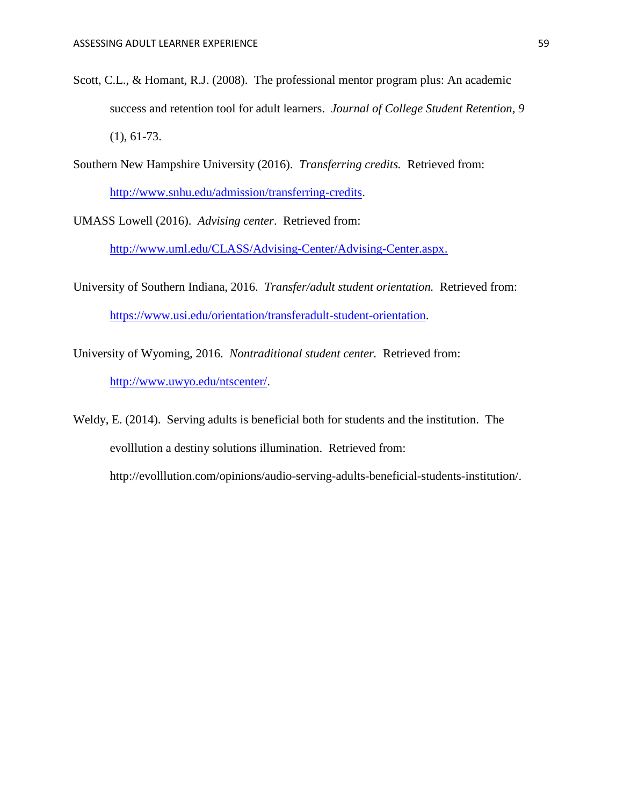- Scott, C.L., & Homant, R.J. (2008). The professional mentor program plus: An academic success and retention tool for adult learners. *Journal of College Student Retention, 9*  (1), 61-73.
- Southern New Hampshire University (2016). *Transferring credits.* Retrieved from: [http://www.snhu.edu/admission/transferring-credits.](http://www.snhu.edu/admission/transferring-credits)
- UMASS Lowell (2016). *Advising center*. Retrieved from:

[http://www.uml.edu/CLASS/Advising-Center/Advising-Center.aspx.](http://www.uml.edu/CLASS/Advising-Center/Advising-Center.aspx)

- University of Southern Indiana, 2016. *Transfer/adult student orientation.* Retrieved from: [https://www.usi.edu/orientation/transferadult-student-orientation.](https://www.usi.edu/orientation/transferadult-student-orientation)
- University of Wyoming, 2016. *Nontraditional student center.* Retrieved from: [http://www.uwyo.edu/ntscenter/.](http://www.uwyo.edu/ntscenter/)
- Weldy, E. (2014). Serving adults is beneficial both for students and the institution. The evolllution a destiny solutions illumination. Retrieved from: http://evolllution.com/opinions/audio-serving-adults-beneficial-students-institution/.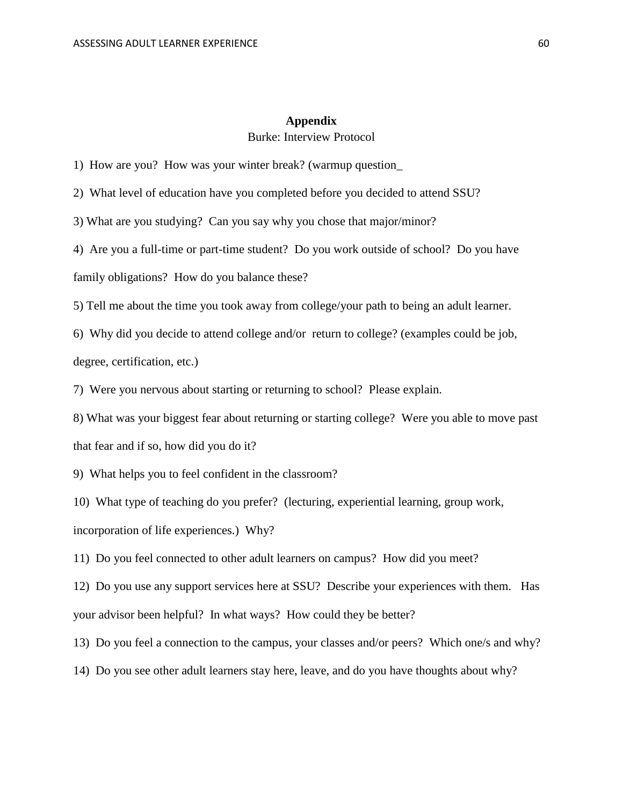#### **Appendix** Burke: Interview Protocol

<span id="page-60-0"></span>1) How are you? How was your winter break? (warmup question\_

2) What level of education have you completed before you decided to attend SSU?

3) What are you studying? Can you say why you chose that major/minor?

4) Are you a full-time or part-time student? Do you work outside of school? Do you have family obligations? How do you balance these?

5) Tell me about the time you took away from college/your path to being an adult learner.

6) Why did you decide to attend college and/or return to college? (examples could be job, degree, certification, etc.)

7) Were you nervous about starting or returning to school? Please explain.

8) What was your biggest fear about returning or starting college? Were you able to move past that fear and if so, how did you do it?

9) What helps you to feel confident in the classroom?

10) What type of teaching do you prefer? (lecturing, experiential learning, group work,

incorporation of life experiences.) Why?

11) Do you feel connected to other adult learners on campus? How did you meet?

12) Do you use any support services here at SSU? Describe your experiences with them. Has your advisor been helpful? In what ways? How could they be better?

13) Do you feel a connection to the campus, your classes and/or peers? Which one/s and why?

14) Do you see other adult learners stay here, leave, and do you have thoughts about why?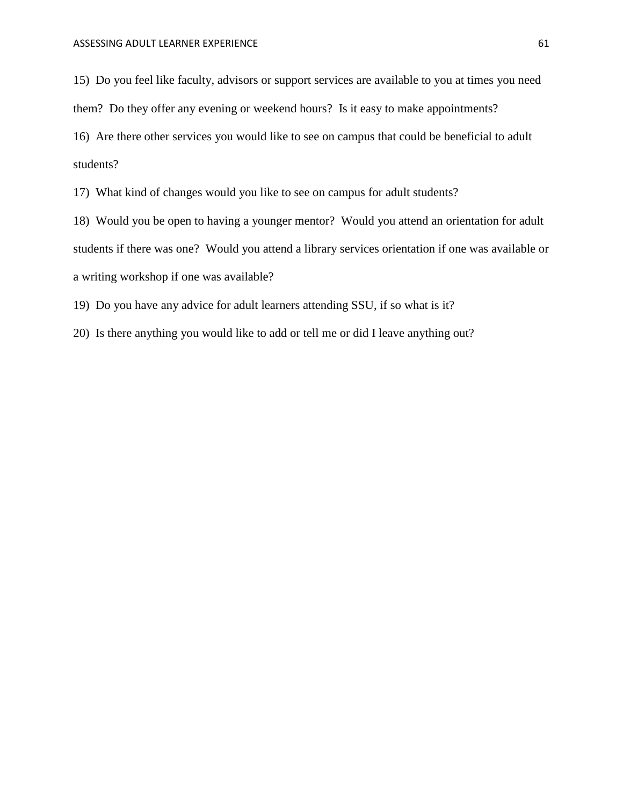15) Do you feel like faculty, advisors or support services are available to you at times you need them? Do they offer any evening or weekend hours? Is it easy to make appointments? 16) Are there other services you would like to see on campus that could be beneficial to adult students?

17) What kind of changes would you like to see on campus for adult students?

18) Would you be open to having a younger mentor? Would you attend an orientation for adult students if there was one? Would you attend a library services orientation if one was available or a writing workshop if one was available?

19) Do you have any advice for adult learners attending SSU, if so what is it?

20) Is there anything you would like to add or tell me or did I leave anything out?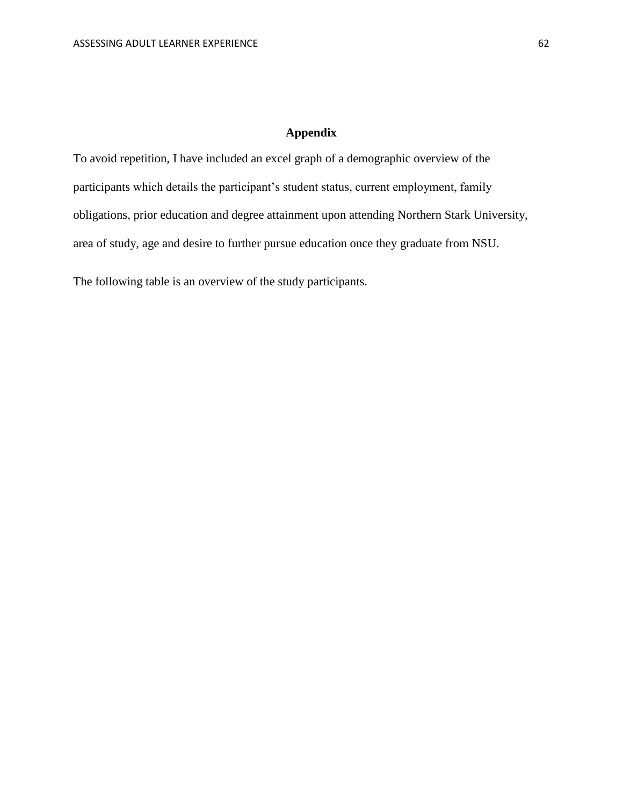### **Appendix**

To avoid repetition, I have included an excel graph of a demographic overview of the participants which details the participant's student status, current employment, family obligations, prior education and degree attainment upon attending Northern Stark University, area of study, age and desire to further pursue education once they graduate from NSU.

The following table is an overview of the study participants.